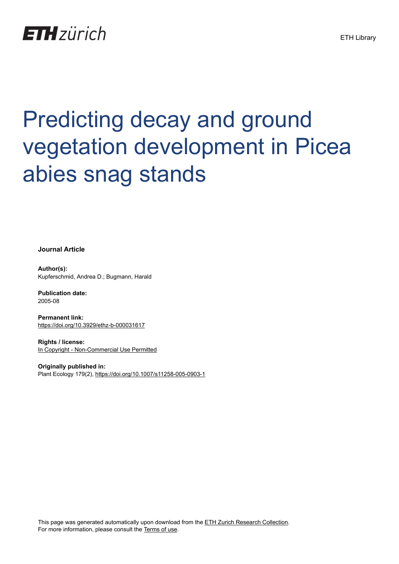# **ETH**zürich

# Predicting decay and ground vegetation development in Picea abies snag stands

**Journal Article**

**Author(s):** Kupferschmid, Andrea D.; Bugmann, Harald

**Publication date:** 2005-08

**Permanent link:** <https://doi.org/10.3929/ethz-b-000031617>

**Rights / license:** [In Copyright - Non-Commercial Use Permitted](http://rightsstatements.org/page/InC-NC/1.0/)

**Originally published in:** Plant Ecology 179(2),<https://doi.org/10.1007/s11258-005-0903-1>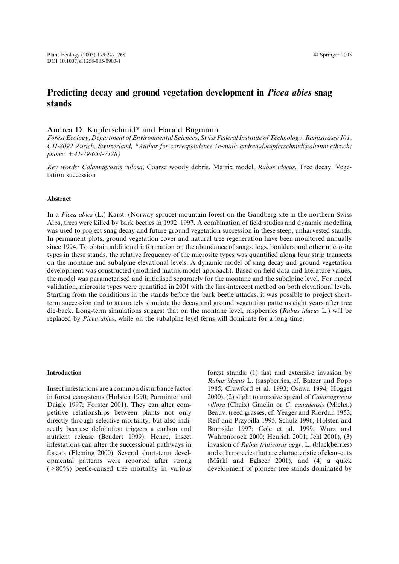# Predicting decay and ground vegetation development in Picea abies snag stands

# Andrea D. Kupferschmid\* and Harald Bugmann

Forest Ecology, Department of Environmental Sciences, Swiss Federal Institute of Technology, Rämistrasse 101, CH-8092 Zürich, Switzerland; \*Author for correspondence (e-mail: andrea.d.kupferschmid@alumni.ethz.ch; phone: +41-79-654-7178)

Key words: Calamagrostis villosa, Coarse woody debris, Matrix model, Rubus idaeus, Tree decay, Vegetation succession

#### Abstract

In a Picea abies (L.) Karst. (Norway spruce) mountain forest on the Gandberg site in the northern Swiss Alps, trees were killed by bark beetles in 1992–1997. A combination of field studies and dynamic modelling was used to project snag decay and future ground vegetation succession in these steep, unharvested stands. In permanent plots, ground vegetation cover and natural tree regeneration have been monitored annually since 1994. To obtain additional information on the abundance of snags, logs, boulders and other microsite types in these stands, the relative frequency of the microsite types was quantified along four strip transects on the montane and subalpine elevational levels. A dynamic model of snag decay and ground vegetation development was constructed (modified matrix model approach). Based on field data and literature values, the model was parameterised and initialised separately for the montane and the subalpine level. For model validation, microsite types were quantified in 2001 with the line-intercept method on both elevational levels. Starting from the conditions in the stands before the bark beetle attacks, it was possible to project shortterm succession and to accurately simulate the decay and ground vegetation patterns eight years after tree die-back. Long-term simulations suggest that on the montane level, raspberries (Rubus idaeus L.) will be replaced by Picea abies, while on the subalpine level ferns will dominate for a long time.

## **Introduction**

Insect infestations are a common disturbance factor in forest ecosystems (Holsten 1990; Parminter and Daigle 1997; Forster 2001). They can alter competitive relationships between plants not only directly through selective mortality, but also indirectly because defoliation triggers a carbon and nutrient release (Beudert 1999). Hence, insect infestations can alter the successional pathways in forests (Fleming 2000). Several short-term developmental patterns were reported after strong  $(>80\%)$  beetle-caused tree mortality in various forest stands: (1) fast and extensive invasion by Rubus idaeus L. (raspberries, cf. Batzer and Popp 1985; Crawford et al. 1993; Osawa 1994; Hogget 2000), (2) slight to massive spread of Calamagrostis villosa (Chaix) Gmelin or C. canadensis (Michx.) Beauv. (reed grasses, cf. Yeager and Riordan 1953; Reif and Przybilla 1995; Schulz 1996; Holsten and Burnside 1997; Cole et al. 1999; Wurz and Wahrenbrock 2000; Heurich 2001; Jehl 2001), (3) invasion of Rubus fruticosus aggr. L. (blackberries) and other species that are characteristic of clear-cuts (Märkl and Eglseer 2001), and  $(4)$  a quick development of pioneer tree stands dominated by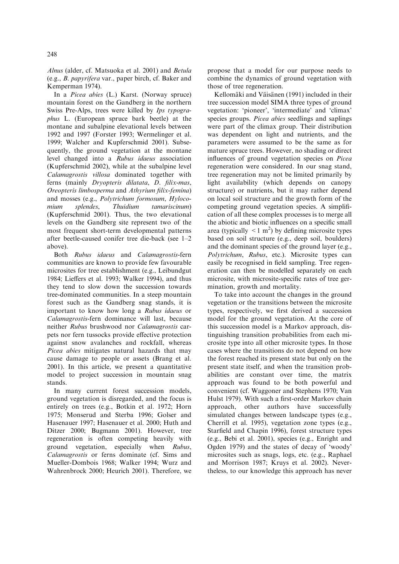Alnus (alder, cf. Matsuoka et al. 2001) and Betula (e.g., B. papyrifera var., paper birch, cf. Baker and Kemperman 1974).

In a Picea abies (L.) Karst. (Norway spruce) mountain forest on the Gandberg in the northern Swiss Pre-Alps, trees were killed by Ips typographus L. (European spruce bark beetle) at the montane and subalpine elevational levels between 1992 and 1997 (Forster 1993; Wermelinger et al. 1999; Walcher and Kupferschmid 2001). Subsequently, the ground vegetation at the montane level changed into a Rubus idaeus association (Kupferschmid 2002), while at the subalpine level Calamagrostis villosa dominated together with ferns (mainly Dryopteris dilatata, D. filix-mas, Oreopteris limbosperma and Athyrium filix-femina) and mosses (e.g., Polytrichum formosum, Hylocomium splendes, Thuidium tamariscinum) (Kupferschmid 2001). Thus, the two elevational levels on the Gandberg site represent two of the most frequent short-term developmental patterns after beetle-caused conifer tree die-back (see 1–2 above).

Both Rubus idaeus and Calamagrostis-fern communities are known to provide few favourable microsites for tree establishment (e.g., Leibundgut 1984; Lieffers et al. 1993; Walker 1994), and thus they tend to slow down the succession towards tree-dominated communities. In a steep mountain forest such as the Gandberg snag stands, it is important to know how long a Rubus idaeus or Calamagrostis-fern dominance will last, because neither Rubus brushwood nor Calamagrostis carpets nor fern tussocks provide effective protection against snow avalanches and rockfall, whereas Picea abies mitigates natural hazards that may cause damage to people or assets (Brang et al. 2001). In this article, we present a quantitative model to project succession in mountain snag stands.

In many current forest succession models, ground vegetation is disregarded, and the focus is entirely on trees (e.g., Botkin et al. 1972; Horn 1975; Monserud and Sterba 1996; Golser and Hasenauer 1997; Hasenauer et al. 2000; Huth and Ditzer 2000; Bugmann 2001). However, tree regeneration is often competing heavily with ground vegetation, especially when Rubus, Calamagrostis or ferns dominate (cf. Sims and Mueller-Dombois 1968; Walker 1994; Wurz and Wahrenbrock 2000; Heurich 2001). Therefore, we

propose that a model for our purpose needs to combine the dynamics of ground vegetation with those of tree regeneration.

Kellomäki and Väisänen (1991) included in their tree succession model SIMA three types of ground vegetation: 'pioneer', 'intermediate' and 'climax' species groups. *Picea abies* seedlings and saplings were part of the climax group. Their distribution was dependent on light and nutrients, and the parameters were assumed to be the same as for mature spruce trees. However, no shading or direct influences of ground vegetation species on Picea regeneration were considered. In our snag stand, tree regeneration may not be limited primarily by light availability (which depends on canopy structure) or nutrients, but it may rather depend on local soil structure and the growth form of the competing ground vegetation species. A simplification of all these complex processes is to merge all the abiotic and biotic influences on a specific small area (typically  $\leq 1$  m<sup>2</sup>) by defining microsite types based on soil structure (e.g., deep soil, boulders) and the dominant species of the ground layer (e.g., Polytrichum, Rubus, etc.). Microsite types can easily be recognised in field sampling. Tree regeneration can then be modelled separately on each microsite, with microsite-specific rates of tree germination, growth and mortality.

To take into account the changes in the ground vegetation or the transitions between the microsite types, respectively, we first derived a succession model for the ground vegetation. At the core of this succession model is a Markov approach, distinguishing transition probabilities from each microsite type into all other microsite types. In those cases where the transitions do not depend on how the forest reached its present state but only on the present state itself, and when the transition probabilities are constant over time, the matrix approach was found to be both powerful and convenient (cf. Waggoner and Stephens 1970; Van Hulst 1979). With such a first-order Markov chain approach, other authors have successfully simulated changes between landscape types (e.g., Cherrill et al. 1995), vegetation zone types (e.g., Starfield and Chapin 1996), forest structure types (e.g., Bebi et al. 2001), species (e.g., Enright and Ogden 1979) and the states of decay of 'woody' microsites such as snags, logs, etc. (e.g., Raphael and Morrison 1987; Kruys et al. 2002). Nevertheless, to our knowledge this approach has never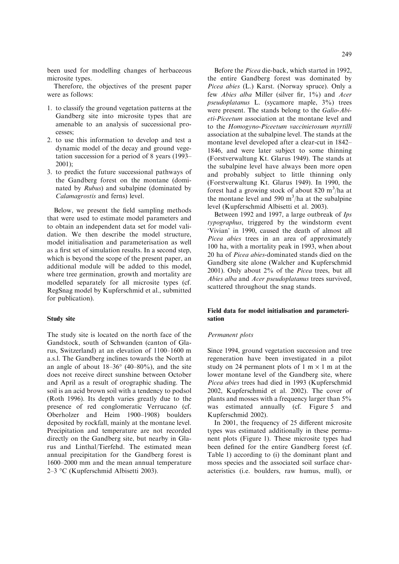been used for modelling changes of herbaceous microsite types.

Therefore, the objectives of the present paper were as follows:

- 1. to classify the ground vegetation patterns at the Gandberg site into microsite types that are amenable to an analysis of successional processes;
- 2. to use this information to develop and test a dynamic model of the decay and ground vegetation succession for a period of 8 years (1993– 2001);
- 3. to predict the future successional pathways of the Gandberg forest on the montane (dominated by *Rubus*) and subalpine (dominated by Calamagrostis and ferns) level.

Below, we present the field sampling methods that were used to estimate model parameters and to obtain an independent data set for model validation. We then describe the model structure, model initialisation and parameterisation as well as a first set of simulation results. In a second step, which is beyond the scope of the present paper, an additional module will be added to this model, where tree germination, growth and mortality are modelled separately for all microsite types (cf. RegSnag model by Kupferschmid et al., submitted for publication).

## Study site

The study site is located on the north face of the Gandstock, south of Schwanden (canton of Glarus, Switzerland) at an elevation of 1100–1600 m a.s.l. The Gandberg inclines towards the North at an angle of about  $18-36^{\circ}$  (40-80%), and the site does not receive direct sunshine between October and April as a result of orographic shading. The soil is an acid brown soil with a tendency to podsol (Roth 1996). Its depth varies greatly due to the presence of red conglomeratic Verrucano (cf. Oberholzer and Heim 1900–1908) boulders deposited by rockfall, mainly at the montane level. Precipitation and temperature are not recorded directly on the Gandberg site, but nearby in Glarus and Linthal/Tierfehd. The estimated mean annual precipitation for the Gandberg forest is 1600–2000 mm and the mean annual temperature 2–3 °C (Kupferschmid Albisetti 2003).

Before the Picea die-back, which started in 1992, the entire Gandberg forest was dominated by Picea abies (L.) Karst. (Norway spruce). Only a few Abies alba Miller (silver fir, 1%) and Acer pseudoplatanus L. (sycamore maple, 3%) trees were present. The stands belong to the Galio-Abieti-Piceetum association at the montane level and to the Homogyno-Piceetum vaccinietosum myrtilli association at the subalpine level. The stands at the montane level developed after a clear-cut in 1842– 1846, and were later subject to some thinning (Forstverwaltung Kt. Glarus 1949). The stands at the subalpine level have always been more open and probably subject to little thinning only (Forstverwaltung Kt. Glarus 1949). In 1990, the forest had a growing stock of about 820 m<sup>3</sup>/ha at the montane level and 590  $\text{m}^3$ /ha at the subalpine level (Kupferschmid Albisetti et al. 2003).

Between 1992 and 1997, a large outbreak of Ips typographus, triggered by the windstorm event 'Vivian' in 1990, caused the death of almost all Picea abies trees in an area of approximately 100 ha, with a mortality peak in 1993, when about 20 ha of Picea abies-dominated stands died on the Gandberg site alone (Walcher and Kupferschmid 2001). Only about 2% of the Picea trees, but all Abies alba and Acer pseudoplatanus trees survived, scattered throughout the snag stands.

# Field data for model initialisation and parameterisation

# Permanent plots

Since 1994, ground vegetation succession and tree regeneration have been investigated in a pilot study on 24 permanent plots of 1 m  $\times$  1 m at the lower montane level of the Gandberg site, where Picea abies trees had died in 1993 (Kupferschmid 2002, Kupferschmid et al. 2002). The cover of plants and mosses with a frequency larger than 5% was estimated annually (cf. Figure 5 and Kupferschmid 2002).

In 2001, the frequency of 25 different microsite types was estimated additionally in these permanent plots (Figure 1). These microsite types had been defined for the entire Gandberg forest (cf. Table 1) according to (i) the dominant plant and moss species and the associated soil surface characteristics (i.e. boulders, raw humus, mull), or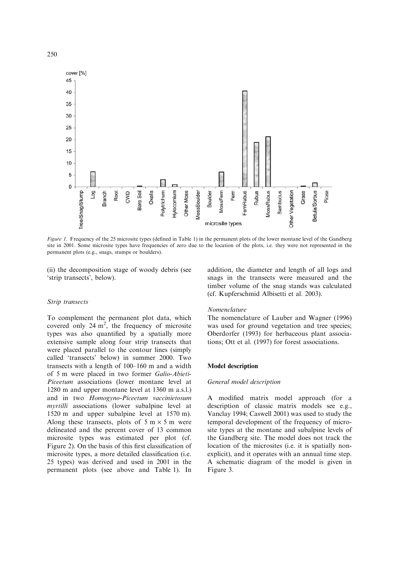

Figure 1. Frequency of the 25 microsite types (defined in Table 1) in the permanent plots of the lower montane level of the Gandberg site in 2001. Some microsite types have frequencies of zero due to the location of the plots, i.e. they were not represented in the permanent plots (e.g., snags, stumps or boulders).

(ii) the decomposition stage of woody debris (see 'strip transects', below).

#### Strip transects

To complement the permanent plot data, which covered only 24  $m^2$ , the frequency of microsite types was also quantified by a spatially more extensive sample along four strip transects that were placed parallel to the contour lines (simply called 'transects' below) in summer 2000. Two transects with a length of 100–160 m and a width of 5 m were placed in two former Galio-Abieti-Piceetum associations (lower montane level at 1280 m and upper montane level at 1360 m a.s.l.) and in two Homogyno-Piceetum vaccinietosum myrtilli associations (lower subalpine level at 1520 m and upper subalpine level at 1570 m). Along these transects, plots of  $5 \text{ m} \times 5 \text{ m}$  were delineated and the percent cover of 13 common microsite types was estimated per plot (cf. Figure 2). On the basis of this first classification of microsite types, a more detailed classification (i.e. 25 types) was derived and used in 2001 in the permanent plots (see above and Table 1). In

addition, the diameter and length of all logs and snags in the transects were measured and the timber volume of the snag stands was calculated (cf. Kupferschmid Albisetti et al. 2003).

#### Nomenclature

The nomenclature of Lauber and Wagner (1996) was used for ground vegetation and tree species; Oberdorfer (1993) for herbaceous plant associations; Ott et al. (1997) for forest associations.

#### Model description

#### General model description

A modified matrix model approach (for a description of classic matrix models see e.g., Vanclay 1994; Caswell 2001) was used to study the temporal development of the frequency of microsite types at the montane and subalpine levels of the Gandberg site. The model does not track the location of the microsites (i.e. it is spatially nonexplicit), and it operates with an annual time step. A schematic diagram of the model is given in Figure 3.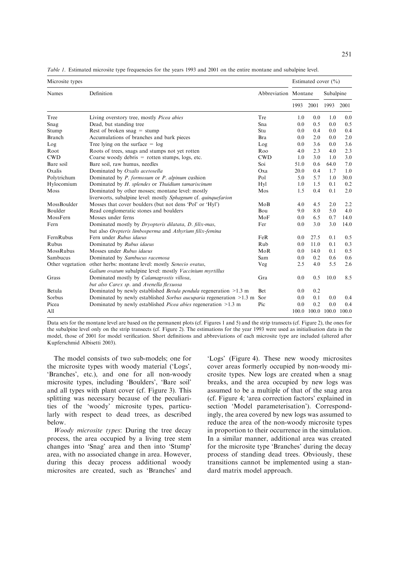| Microsite types |                                                                            |                      |      | Estimated cover $(\% )$ |           |      |
|-----------------|----------------------------------------------------------------------------|----------------------|------|-------------------------|-----------|------|
| Names           | Definition                                                                 | Abbreviation Montane |      |                         | Subalpine |      |
|                 |                                                                            |                      | 1993 | 2001                    | 1993      | 2001 |
| Tree            | Living overstory tree, mostly Picea abies                                  | Tre                  | 1.0  | 0.0                     | 1.0       | 0.0  |
| Snag            | Dead, but standing tree                                                    | Sna                  | 0.0  | 0.5                     | 0.0       | 0.5  |
| Stump           | Rest of broken snag $=$ stump                                              | Stu                  | 0.0  | 0.4                     | 0.0       | 0.4  |
| <b>Branch</b>   | Accumulations of branches and bark pieces                                  | Bra                  | 0.0  | 2.0                     | 0.0       | 2.0  |
| Log             | Tree lying on the surface $=$ log                                          | Log                  | 0.0  | 3.6                     | 0.0       | 3.6  |
| Root            | Roots of trees, snags and stumps not yet rotten                            | Roo                  | 4.0  | 2.3                     | 4.0       | 2.3  |
| <b>CWD</b>      | Coarse woody debris $=$ rotten stumps, logs, etc.                          | <b>CWD</b>           | 1.0  | 3.0                     | 1.0       | 3.0  |
| Bare soil       | Bare soil, raw humus, needles                                              | Soi                  | 51.0 | 0.6                     | 64.0      | 7.0  |
| Oxalis          | Dominated by Oxalis acetosella                                             | Oxa                  | 20.0 | 0.4                     | 1.7       | 1.0  |
| Polytrichum     | Dominated by <i>P. formosum</i> or <i>P. alpinum</i> cushion               | Pol                  | 5.0  | 5.7                     | 1.0       | 30.0 |
| Hylocomium      | Dominated by H. splendes or Thuidium tamariscinum                          | Hyl                  | 1.0  | 1.5                     | 0.1       | 0.2  |
| Moss            | Dominated by other mosses; montane level: mostly                           | Mos                  | 1.5  | 0.4                     | 0.1       | 2.0  |
|                 | liverworts, subalpine level: mostly Sphagnum cf. quinquefarion             |                      |      |                         |           |      |
| MossBoulder     | Mosses that cover boulders (but not dens 'Pol' or 'Hyl')                   | MoB                  | 4.0  | 4.5                     | 2.0       | 2.2  |
| Boulder         | Read conglomeratic stones and boulders                                     | Bou                  | 9.0  | 8.0                     | 5.0       | 4.0  |
| MossFern        | Mosses under ferns                                                         | MoF                  | 0.0  | 6.5                     | 0.7       | 14.0 |
| Fern            | Dominated mostly by Dryopteris dilatata, D. filix-mas,                     | Fer                  | 0.0  | 3.0                     | 3.0       | 14.0 |
|                 | but also Orepteris limbosperma and Athyrium filix-femina                   |                      |      |                         |           |      |
| FernRubus       | Fern under Rubus idaeus                                                    | FeR                  | 0.0  | 27.5                    | 0.1       | 0.5  |
| Rubus           | Dominated by Rubus idaeus                                                  | Rub                  | 0.0  | 11.0                    | 0.1       | 0.3  |
| MossRubus       | Mosses under Rubus idaeus                                                  | MoR                  | 0.0  | 14.0                    | 0.1       | 0.5  |
| <b>Sambucus</b> | Dominated by Sambucus racemosa                                             | Sam                  | 0.0  | 0.2                     | 0.6       | 0.6  |
|                 | Other vegetation other herbs: montane level: mostly Senecio ovatus,        | Veg                  | 2.5  | 4.0                     | 5.5       | 2.6  |
|                 | Galium ovatum subalpine level: mostly Vaccinium myrtillus                  |                      |      |                         |           |      |
| Grass           | Dominated mostly by Calamagrostis villosa,                                 | Gra                  | 0.0  | 0.5                     | 10.0      | 8.5  |
|                 | but also Carex sp. and Avenella flexuosa                                   |                      |      |                         |           |      |
| Betula          | Dominated by newly established <i>Betula pendula</i> regeneration $>1.3$ m | Bet                  | 0.0  | 0.2                     |           |      |
| Sorbus          | Dominated by newly established Sorbus aucuparia regeneration >1.3 m Sor    |                      | 0.0  | 0.1                     | 0.0       | 0.4  |
| Picea           | Dominated by newly established Picea abies regeneration >1.3 m             | Pic                  | 0.0  | 0.2                     | 0.0       | 0.4  |
| All             |                                                                            |                      |      | 100.0 100.0 100.0 100.0 |           |      |

Table 1. Estimated microsite type frequencies for the years 1993 and 2001 on the entire montane and subalpine level.

Data sets for the montane level are based on the permanent plots (cf. Figures 1 and 5) and the strip transects (cf. Figure 2), the ones for the subalpine level only on the strip transects (cf. Figure 2). The estimations for the year 1993 were used as initialisation data in the model, those of 2001 for model verification. Short definitions and abbreviations of each microsite type are included (altered after Kupferschmid Albisetti 2003).

The model consists of two sub-models; one for the microsite types with woody material ('Logs', 'Branches', etc.), and one for all non-woody microsite types, including 'Boulders', 'Bare soil' and all types with plant cover (cf. Figure 3). This splitting was necessary because of the peculiarities of the 'woody' microsite types, particularly with respect to dead trees, as described below.

Woody microsite types: During the tree decay process, the area occupied by a living tree stem changes into 'Snag' area and then into 'Stump' area, with no associated change in area. However, during this decay process additional woody microsites are created, such as 'Branches' and

'Logs' (Figure 4). These new woody microsites cover areas formerly occupied by non-woody microsite types. New logs are created when a snag breaks, and the area occupied by new logs was assumed to be a multiple of that of the snag area (cf. Figure 4; 'area correction factors' explained in section 'Model parameterisation'). Correspondingly, the area covered by new logs was assumed to reduce the area of the non-woody microsite types in proportion to their occurrence in the simulation. In a similar manner, additional area was created for the microsite type 'Branches' during the decay process of standing dead trees. Obviously, these transitions cannot be implemented using a standard matrix model approach.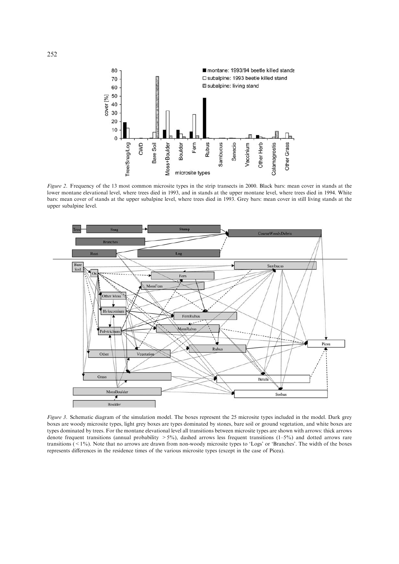

Figure 2. Frequency of the 13 most common microsite types in the strip transects in 2000. Black bars: mean cover in stands at the lower montane elevational level, where trees died in 1993, and in stands at the upper montane level, where trees died in 1994. White bars: mean cover of stands at the upper subalpine level, where trees died in 1993. Grey bars: mean cover in still living stands at the upper subalpine level.



Figure 3. Schematic diagram of the simulation model. The boxes represent the 25 microsite types included in the model. Dark grey boxes are woody microsite types, light grey boxes are types dominated by stones, bare soil or ground vegetation, and white boxes are types dominated by trees. For the montane elevational level all transitions between microsite types are shown with arrows: thick arrows denote frequent transitions (annual probability  $>5\%$ ), dashed arrows less frequent transitions (1–5%) and dotted arrows rare transitions (<1%). Note that no arrows are drawn from non-woody microsite types to 'Logs' or 'Branches'. The width of the boxes represents differences in the residence times of the various microsite types (except in the case of Picea).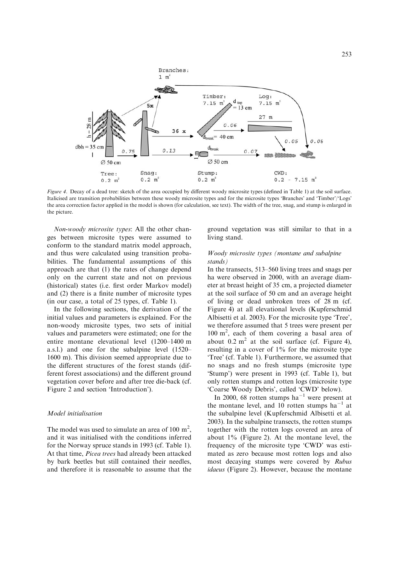

Figure 4. Decay of a dead tree: sketch of the area occupied by different woody microsite types (defined in Table 1) at the soil surface. Italicised are transition probabilities between these woody microsite types and for the microsite types 'Branches' and 'Timber'/'Logs' the area correction factor applied in the model is shown (for calculation, see text). The width of the tree, snag, and stump is enlarged in the picture.

Non-woody microsite types: All the other changes between microsite types were assumed to conform to the standard matrix model approach, and thus were calculated using transition probabilities. The fundamental assumptions of this approach are that (1) the rates of change depend only on the current state and not on previous (historical) states (i.e. first order Markov model) and (2) there is a finite number of microsite types (in our case, a total of 25 types, cf. Table 1).

In the following sections, the derivation of the initial values and parameters is explained. For the non-woody microsite types, two sets of initial values and parameters were estimated; one for the entire montane elevational level (1200–1400 m a.s.l.) and one for the subalpine level (1520– 1600 m). This division seemed appropriate due to the different structures of the forest stands (different forest associations) and the different ground vegetation cover before and after tree die-back (cf. Figure 2 and section 'Introduction').

# Model initialisation

The model was used to simulate an area of  $100 \text{ m}^2$ , and it was initialised with the conditions inferred for the Norway spruce stands in 1993 (cf. Table 1). At that time, Picea trees had already been attacked by bark beetles but still contained their needles, and therefore it is reasonable to assume that the

ground vegetation was still similar to that in a living stand.

# Woody microsite types (montane and subalpine stands)

In the transects, 513–560 living trees and snags per ha were observed in 2000, with an average diameter at breast height of 35 cm, a projected diameter at the soil surface of 50 cm and an average height of living or dead unbroken trees of 28 m (cf. Figure 4) at all elevational levels (Kupferschmid Albisetti et al. 2003). For the microsite type 'Tree', we therefore assumed that 5 trees were present per 100 m<sup>2</sup> , each of them covering a basal area of about  $0.2 \text{ m}^2$  at the soil surface (cf. Figure 4), resulting in a cover of 1% for the microsite type 'Tree' (cf. Table 1). Furthermore, we assumed that no snags and no fresh stumps (microsite type 'Stump') were present in 1993 (cf. Table 1), but only rotten stumps and rotten logs (microsite type 'Coarse Woody Debris', called 'CWD' below).

In 2000, 68 rotten stumps  $ha^{-1}$  were present at the montane level, and 10 rotten stumps  $ha^{-1}$  at the subalpine level (Kupferschmid Albisetti et al. 2003). In the subalpine transects, the rotten stumps together with the rotten logs covered an area of about 1% (Figure 2). At the montane level, the frequency of the microsite type 'CWD' was estimated as zero because most rotten logs and also most decaying stumps were covered by Rubus idaeus (Figure 2). However, because the montane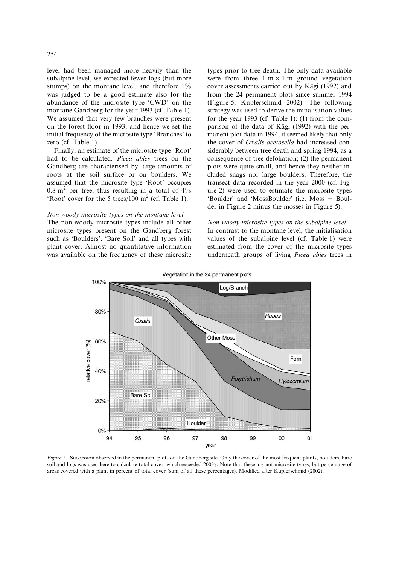level had been managed more heavily than the subalpine level, we expected fewer logs (but more stumps) on the montane level, and therefore  $1\%$ was judged to be a good estimate also for the abundance of the microsite type 'CWD' on the montane Gandberg for the year 1993 (cf. Table 1). We assumed that very few branches were present on the forest floor in 1993, and hence we set the initial frequency of the microsite type 'Branches' to zero (cf. Table 1).

Finally, an estimate of the microsite type 'Root' had to be calculated. Picea abies trees on the Gandberg are characterised by large amounts of roots at the soil surface or on boulders. We assumed that the microsite type 'Root' occupies  $0.8 \text{ m}^2$  per tree, thus resulting in a total of  $4\%$ 'Root' cover for the 5 trees/100  $m<sup>2</sup>$  (cf. Table 1).

#### Non-woody microsite types on the montane level

The non-woody microsite types include all other microsite types present on the Gandberg forest such as 'Boulders', 'Bare Soil' and all types with plant cover. Almost no quantitative information was available on the frequency of these microsite

types prior to tree death. The only data available were from three  $1 \text{ m} \times 1 \text{ m}$  ground vegetation cover assessments carried out by Kägi (1992) and from the 24 permanent plots since summer 1994 (Figure 5, Kupferschmid 2002). The following strategy was used to derive the initialisation values for the year 1993 (cf. Table 1): (1) from the comparison of the data of Kägi  $(1992)$  with the permanent plot data in 1994, it seemed likely that only the cover of Oxalis acetosella had increased considerably between tree death and spring 1994, as a consequence of tree defoliation; (2) the permanent plots were quite small, and hence they neither included snags nor large boulders. Therefore, the transect data recorded in the year 2000 (cf. Figure 2) were used to estimate the microsite types 'Boulder' and 'MossBoulder' (i.e. Moss + Boulder in Figure 2 minus the mosses in Figure 5).

Non-woody microsite types on the subalpine level In contrast to the montane level, the initialisation values of the subalpine level (cf. Table 1) were estimated from the cover of the microsite types underneath groups of living Picea abies trees in



Figure 5. Succession observed in the permanent plots on the Gandberg site. Only the cover of the most frequent plants, boulders, bare soil and logs was used here to calculate total cover, which exceeded 200%. Note that these are not microsite types, but percentage of areas covered with a plant in percent of total cover (sum of all these percentages). Modified after Kupferschmid (2002).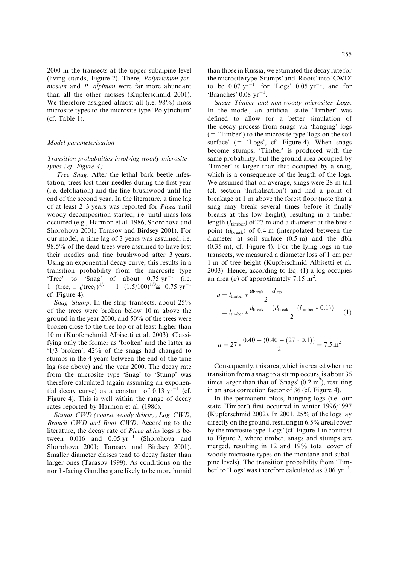2000 in the transects at the upper subalpine level (living stands, Figure 2). There, Polytrichum formosum and P. alpinum were far more abundant than all the other mosses (Kupferschmid 2001). We therefore assigned almost all (i.e. 98%) moss microsite types to the microsite type 'Polytrichum' (cf. Table 1).

# Model parameterisation

# Transition probabilities involving woody microsite types (cf. Figure 4)

Tree–Snag. After the lethal bark beetle infestation, trees lost their needles during the first year (i.e. defoliation) and the fine brushwood until the end of the second year. In the literature, a time lag of at least 2–3 years was reported for Picea until woody decomposition started, i.e. until mass loss occurred (e.g., Harmon et al. 1986, Shorohova and Shorohova 2001; Tarasov and Birdsey 2001). For our model, a time lag of 3 years was assumed, i.e. 98.5% of the dead trees were assumed to have lost their needles and fine brushwood after 3 years. Using an exponential decay curve, this results in a transition probability from the microsite type 'Tree' to 'Snag' of about  $0.75 \text{ yr}^{-1}$  (i.e.  $1-(\text{tree}_{t=3}/\text{tree}_0)^{1/t} = 1-(1.5/100)^{1/3} \approx 0.75 \text{ yr}^{-1}$ cf. Figure 4).

Snag–Stump. In the strip transects, about 25% of the trees were broken below 10 m above the ground in the year 2000, and 50% of the trees were broken close to the tree top or at least higher than 10 m (Kupferschmid Albisetti et al. 2003). Classifying only the former as 'broken' and the latter as '1/3 broken', 42% of the snags had changed to stumps in the 4 years between the end of the time lag (see above) and the year 2000. The decay rate from the microsite type 'Snag' to 'Stump' was therefore calculated (again assuming an exponential decay curve) as a constant of 0.13  $yr^{-1}$  (cf. Figure 4). This is well within the range of decay rates reported by Harmon et al. (1986).

Stump–CWD (coarse woody debris), Log–CWD, Branch–CWD and Root–CWD. According to the literature, the decay rate of Picea abies logs is between  $0.016$  and  $0.05 \text{ yr}^{-1}$  (Shorohova and Shorohova 2001; Tarasov and Birdsey 2001). Smaller diameter classes tend to decay faster than larger ones (Tarasov 1999). As conditions on the north-facing Gandberg are likely to be more humid than those in Russia, we estimated the decay rate for the microsite type 'Stumps' and 'Roots' into 'CWD' to be 0.07  $yr^{-1}$ , for 'Logs' 0.05  $yr^{-1}$ , and for 'Branches'  $0.08 \text{ yr}^{-1}$ .

Snags–Timber and non-woody microsites–Logs. In the model, an artificial state 'Timber' was defined to allow for a better simulation of the decay process from snags via 'hanging' logs  $($  = 'Timber') to the microsite type 'logs on the soil surface'  $($  = 'Logs', cf. Figure 4). When snags become stumps, 'Timber' is produced with the same probability, but the ground area occupied by 'Timber' is larger than that occupied by a snag, which is a consequence of the length of the logs. We assumed that on average, snags were 28 m tall (cf. section 'Initialisation') and had a point of breakage at 1 m above the forest floor (note that a snag may break several times before it finally breaks at this low height), resulting in a timber length  $(l<sub>timber</sub>)$  of 27 m and a diameter at the break point  $(d_{break})$  of 0.4 m (interpolated between the diameter at soil surface (0.5 m) and the dbh (0.35 m), cf. Figure 4). For the lying logs in the transects, we measured a diameter loss of 1 cm per 1 m of tree height (Kupferschmid Albisetti et al. 2003). Hence, according to Eq. (1) a log occupies an area (*a*) of approximately  $7.15 \text{ m}^2$ .

$$
a = ltime * \frac{dbreak + dtop}{2}
$$
  
= l<sub>time</sub> \*  $\frac{dbreak + (dbreak - (ltime * 0.1))}{2}$  (1)

$$
a = 27 * \frac{0.40 + (0.40 - (27 * 0.1))}{2} = 7.5 \,\text{m}^2
$$

Consequently, this area, which is created when the transition from a snag to a stump occurs, is about 36 times larger than that of 'Snags'  $(0.2 \text{ m}^2)$ , resulting in an area correction factor of 36 (cf. Figure 4).

In the permanent plots, hanging logs (i.e. our state 'Timber') first occurred in winter 1996/1997 (Kupferschmid 2002). In 2001, 25% of the logs lay directly on the ground, resulting in 6.5% areal cover by the microsite type 'Logs' (cf. Figure 1 in contrast to Figure 2, where timber, snags and stumps are merged, resulting in 12 and 19% total cover of woody microsite types on the montane and subalpine levels). The transition probability from 'Timber' to 'Logs' was therefore calculated as  $0.06 \text{ yr}^{-1}$ .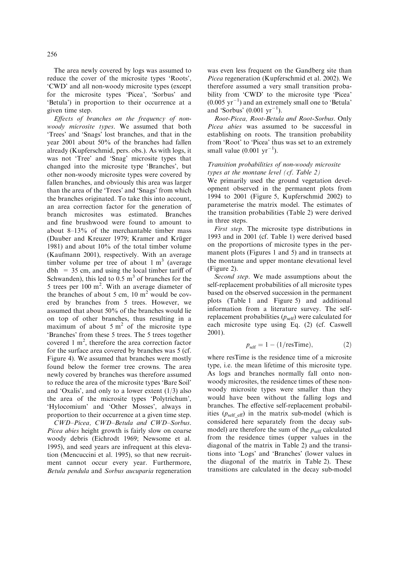The area newly covered by logs was assumed to reduce the cover of the microsite types 'Roots', 'CWD' and all non-woody microsite types (except for the microsite types 'Picea', 'Sorbus' and 'Betula') in proportion to their occurrence at a given time step.

Effects of branches on the frequency of nonwoody microsite types. We assumed that both 'Trees' and 'Snags' lost branches, and that in the year 2001 about 50% of the branches had fallen already (Kupferschmid, pers. obs.). As with logs, it was not 'Tree' and 'Snag' microsite types that changed into the microsite type 'Branches', but other non-woody microsite types were covered by fallen branches, and obviously this area was larger than the area of the 'Trees' and 'Snags' from which the branches originated. To take this into account, an area correction factor for the generation of branch microsites was estimated. Branches and fine brushwood were found to amount to about 8–13% of the merchantable timber mass (Dauber and Kreuzer 1979; Kramer and Krüger 1981) and about 10% of the total timber volume (Kaufmann 2001), respectively. With an average timber volume per tree of about  $1 \text{ m}^3$  (average  $dbh = 35$  cm, and using the local timber tariff of Schwanden), this led to  $0.5 \text{ m}^3$  of branches for the 5 trees per  $100 \text{ m}^2$ . With an average diameter of the branches of about 5 cm,  $10 \text{ m}^2$  would be covered by branches from 5 trees. However, we assumed that about 50% of the branches would lie on top of other branches, thus resulting in a maximum of about  $5 \text{ m}^2$  of the microsite type 'Branches' from these 5 trees. The 5 trees together covered  $1 \text{ m}^2$ , therefore the area correction factor for the surface area covered by branches was 5 (cf. Figure 4). We assumed that branches were mostly found below the former tree crowns. The area newly covered by branches was therefore assumed to reduce the area of the microsite types 'Bare Soil' and 'Oxalis', and only to a lower extent  $(1/3)$  also the area of the microsite types 'Polytrichum', 'Hylocomium' and 'Other Mosses', always in proportion to their occurrence at a given time step.

CWD–Picea, CWD–Betula and CWD–Sorbus. Picea abies height growth is fairly slow on coarse woody debris (Eichrodt 1969; Newsome et al. 1995), and seed years are infrequent at this elevation (Mencuccini et al. 1995), so that new recruitment cannot occur every year. Furthermore, Betula pendula and Sorbus aucuparia regeneration

was even less frequent on the Gandberg site than Picea regeneration (Kupferschmid et al. 2002). We therefore assumed a very small transition probability from 'CWD' to the microsite type 'Picea'  $(0.005 \text{ yr}^{-1})$  and an extremely small one to 'Betula' and 'Sorbus'  $(0.001 \text{ yr}^{-1})$ .

Root-Picea, Root-Betula and Root-Sorbus. Only Picea abies was assumed to be successful in establishing on roots. The transition probability from 'Root' to 'Picea' thus was set to an extremely small value  $(0.001 \text{ yr}^{-1})$ .

# Transition probabilities of non-woody microsite types at the montane level (cf. Table 2)

We primarily used the ground vegetation development observed in the permanent plots from 1994 to 2001 (Figure 5, Kupferschmid 2002) to parameterise the matrix model. The estimates of the transition probabilities (Table 2) were derived in three steps.

First step. The microsite type distributions in 1993 and in 2001 (cf. Table 1) were derived based on the proportions of microsite types in the permanent plots (Figures 1 and 5) and in transects at the montane and upper montane elevational level (Figure 2).

Second step. We made assumptions about the self-replacement probabilities of all microsite types based on the observed succession in the permanent plots (Table 1 and Figure 5) and additional information from a literature survey. The selfreplacement probabilities  $(p_{self})$  were calculated for each microsite type using Eq. (2) (cf. Caswell 2001).

$$
p_{\text{self}} = 1 - (1/\text{resTime}),\tag{2}
$$

where resTime is the residence time of a microsite type, i.e. the mean lifetime of this microsite type. As logs and branches normally fall onto nonwoody microsites, the residence times of these nonwoody microsite types were smaller than they would have been without the falling logs and branches. The effective self-replacement probabilities ( $p_{self eff}$ ) in the matrix sub-model (which is considered here separately from the decay submodel) are therefore the sum of the  $p_{\text{self}}$  calculated from the residence times (upper values in the diagonal of the matrix in Table 2) and the transitions into 'Logs' and 'Branches' (lower values in the diagonal of the matrix in Table 2). These transitions are calculated in the decay sub-model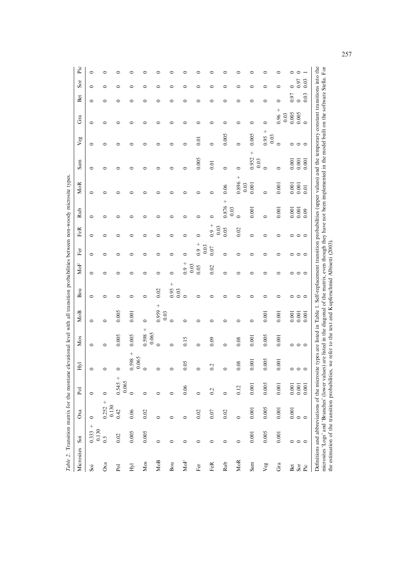|                                                |                    |                    |                    | Table 2. Transition matrix for the montane elevational level with all transition probabilities between non-woody microsite types. |                                                                                                                                       |                         |                        |                    |                                             |                 |                         |                                                          |                    |                        |                  |                 |              |     |
|------------------------------------------------|--------------------|--------------------|--------------------|-----------------------------------------------------------------------------------------------------------------------------------|---------------------------------------------------------------------------------------------------------------------------------------|-------------------------|------------------------|--------------------|---------------------------------------------|-----------------|-------------------------|----------------------------------------------------------|--------------------|------------------------|------------------|-----------------|--------------|-----|
| Microsites                                     | Soi                | Oxa                | Pol                | Hyl                                                                                                                               | Mos                                                                                                                                   | MoB                     | Bou                    | MoF                | Fer                                         | FeR             | <b>Rub</b>              | <b>MoR</b>                                               | Sam                | $\mathrm{Veg}$         | Gra              | Bet             | Sor          | Pic |
| Soi                                            | $0.333 +$<br>0.130 | $\circ$            | $\circ$            | $\circ$                                                                                                                           | $\circ$                                                                                                                               | $\circ$                 | $\circ$                | $\circ$            | $\circ$                                     | $\circ$         | $\circ$                 | $\circ$                                                  | $\circ$            | $\circ$                | $\circ$          | $\circ$         | ○            |     |
| Оха                                            | $\widetilde{0}$ .5 | $0.252 +$<br>0.130 | $\circ$            | $\circ$                                                                                                                           | $\circ$                                                                                                                               | $\circ$                 |                        | ⊂                  |                                             | ∊               | ⊂                       | $\circ$                                                  | 0                  | 0                      | ⊂                | $\circ$         |              |     |
| $_{\rm Pol}$                                   | 0.02               | 0.42               | $0.545 +$<br>0.065 | $\circ$                                                                                                                           | $0.005$                                                                                                                               | 0.005                   |                        |                    |                                             |                 | ⊂                       | ⊂                                                        | ⊂                  | 0                      |                  | ⊂               |              |     |
| $\rm H\!$                                      | 0.005              | $0.06$             | $\circ$            | $0.598 +$<br>1.065                                                                                                                | 0.005                                                                                                                                 | $0.001$                 | 0                      | ⊂                  |                                             |                 | 0                       | 0                                                        |                    |                        |                  | ⊂               |              |     |
| Mos                                            | 0.005              | 0.02               | $\circ$            | $\circ$                                                                                                                           | $0.598 +$<br>0.065                                                                                                                    | $\circ$                 |                        | 0                  |                                             |                 | ⊂                       | ⊂                                                        |                    |                        |                  | ⊂               |              |     |
| MoB                                            | $\circ$            | $\circ$            | $\circ$            | $\circ$                                                                                                                           | $\circ$                                                                                                                               | $^{+}$<br>0.959<br>0.03 | 0.02                   | 0                  |                                             |                 | ⊂                       | ⊂                                                        |                    | ⊂                      |                  | ⊂               |              |     |
| Bou                                            | $\circ$            | $\circ$            | $\bullet$          | $\circ$                                                                                                                           |                                                                                                                                       |                         | $^{+}$<br>0.95<br>0.03 | 0                  | 0                                           | ⊂               | 0                       | ⊂                                                        | 0                  | 0                      |                  | ⊂               |              |     |
| MoF                                            | $\circ$            | $\circ$            | 0.06               | 0.05                                                                                                                              | 0.15                                                                                                                                  |                         | $\circ$                | $+$ 0.9<br>0.03    | $\circ$                                     | $\circ$         | $\circ$                 | ○                                                        | $\circ$            | $\circ$                | ⊂                | ○               |              |     |
| Fer                                            | $\circ$            | 0.02               | $\circ$            | $\circ$                                                                                                                           |                                                                                                                                       |                         | 0                      | 0.05               | $+ 0.9 +$                                   | $\circ$         | $\circ$                 | $\circ$                                                  | 0.005              | 0.01                   | ⊂                | ⊂               |              |     |
| FeR                                            | $\circ$            | $0.07$             | 0.2                | 0.2                                                                                                                               | 0.09                                                                                                                                  |                         |                        | 0.02               | $\begin{array}{c} 0.03 \\ 0.07 \end{array}$ | $+$ 0.9<br>0.03 | 0                       | $\circ$                                                  | 0.01               | $\bullet$              | ⊂                | $\circ$         |              |     |
| Rub                                            | $\circ$            | $0.02\,$           | $\bullet$          | $\circ$                                                                                                                           | $\bullet$                                                                                                                             |                         |                        | 0                  | $\bullet$                                   | 0.05            | $0.876$ $\cdot$<br>0.03 | 0.06                                                     | $\bullet$          | 0.005                  | 0                | 0               | 0            |     |
| MoR                                            | $\circ$            | $\circ$            | 0.12               | 0.08                                                                                                                              | 0.08                                                                                                                                  |                         |                        | 0                  | $\circ$                                     | 0.02            | $\circ$                 | $\,{}^+$<br>0.896<br>0.03                                | $\circ$            | $\circ$                | 0                | 0               |              |     |
| Sam                                            | 0.001              | 0.001              | 0.001              | 0.001                                                                                                                             | $0.001$                                                                                                                               | ∊                       |                        | ⊂                  | 0                                           | $\circ$         | 0.001                   | $0.001$                                                  | 0.952<br>0.03      | 0.005                  | 0                | 0               |              |     |
| Veg                                            | 0.005              | 0.005              | 0.005              | 0.005                                                                                                                             | 0.005                                                                                                                                 | 0.001                   |                        |                    |                                             | 0               | $\bullet$               | $\bullet$                                                |                    | $^{+}$<br>0.03<br>0.95 | $\circ$          | $\circ$         |              |     |
| Gra                                            | 0.001              | 0.001              | 0.001              | 0.001                                                                                                                             | $0.001\,$                                                                                                                             | 0.001                   |                        | ⊂                  | 0                                           | ∊               | $0.001$                 | 0.001                                                    | $\circ$            |                        | $0.96 +$<br>0.03 | $\circ$         | ○            |     |
| Bet                                            | $\circ$ $\circ$    | 0.001              | 0.001              |                                                                                                                                   | $\bullet$                                                                                                                             | $0.001$                 |                        | ᅌ                  | $\circ$                                     |                 | $0.001\,$               | $0.001$                                                  | $0.001$            | $\circ$                | 0.005            | 0.97<br>$\circ$ | 0            |     |
| Sor<br>$\mathbf{Pic}$                          | $\circ$            | $\circ$<br>$\circ$ | 0.001<br>$0.001$   | $\circ \circ \circ$                                                                                                               | $\circ$                                                                                                                               | $0.001\,$<br>0.001      | $\circ$                | $\circ$<br>$\circ$ |                                             |                 | $0.001\,$<br>0.09       | 0.001<br>0.01                                            | $0.001\,$<br>0.001 | $\circ$                | 0.005<br>$\circ$ | 0.03            | 0.03<br>0.97 |     |
| Definitions and abbreviations of the microsite |                    |                    |                    | wires if are's and 'Bronchae' (lawer volues) are listed in the dioranal of the matrix                                             | types are listed in Table 1. Self-replacement transition probabilities (upper values) and the temporary constant transitions into the |                         |                        |                    | arran though thay hove not been             |                 |                         | malamantad in the model built on the software Stella Eos |                    |                        |                  |                 |              |     |

software Stella. For microsites 'Logs' and 'Branches' (lower values) are listed in the diagonal of the matrix, even though they have not been implemented in the model built on the software Stella. For microsites 'Logs' and 'Branches' (lower values) are listed in the diagonal of the matrix, even though they have not been implemented in the model built on the stimation of the transition probabilities, we refer to the text the estimation of the transition probabilities, we refer to the text and Kupferschmid Albisetti (2003).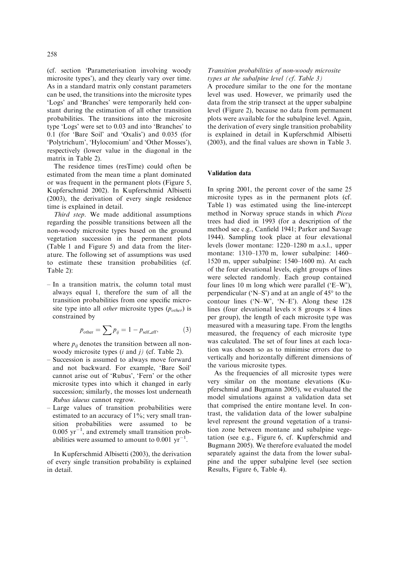(cf. section 'Parameterisation involving woody microsite types'), and they clearly vary over time. As in a standard matrix only constant parameters can be used, the transitions into the microsite types 'Logs' and 'Branches' were temporarily held constant during the estimation of all other transition probabilities. The transitions into the microsite type 'Logs' were set to 0.03 and into 'Branches' to 0.1 (for 'Bare Soil' and 'Oxalis') and 0.035 (for 'Polytrichum', 'Hylocomium' and 'Other Mosses'), respectively (lower value in the diagonal in the matrix in Table 2).

The residence times (resTime) could often be estimated from the mean time a plant dominated or was frequent in the permanent plots (Figure 5, Kupferschmid 2002). In Kupferschmid Albisetti (2003), the derivation of every single residence time is explained in detail.

Third step. We made additional assumptions regarding the possible transitions between all the non-woody microsite types based on the ground vegetation succession in the permanent plots (Table 1 and Figure 5) and data from the literature. The following set of assumptions was used to estimate these transition probabilities (cf. Table 2):

– In a transition matrix, the column total must always equal 1, therefore the sum of all the transition probabilities from one specific microsite type into all *other* microsite types  $(p_{other})$  is constrained by

$$
p_{\text{other}} = \sum p_{ij} = 1 - p_{\text{self\_eff}}, \tag{3}
$$

where  $p_{ij}$  denotes the transition between all nonwoody microsite types  $(i \text{ and } j)$  (cf. Table 2).

- Succession is assumed to always move forward and not backward. For example, 'Bare Soil' cannot arise out of 'Rubus', 'Fern' or the other microsite types into which it changed in early succession; similarly, the mosses lost underneath Rubus idaeus cannot regrow.
- Large values of transition probabilities were estimated to an accuracy of 1%; very small transition probabilities were assumed to be  $0.005$  yr<sup>-1</sup>, and extremely small transition probabilities were assumed to amount to 0.001  $\text{yr}^{-1}$ .

In Kupferschmid Albisetti (2003), the derivation of every single transition probability is explained in detail.

Transition probabilities of non-woody microsite types at the subalpine level (cf. Table 3)

A procedure similar to the one for the montane level was used. However, we primarily used the data from the strip transect at the upper subalpine level (Figure 2), because no data from permanent plots were available for the subalpine level. Again, the derivation of every single transition probability is explained in detail in Kupferschmid Albisetti (2003), and the final values are shown in Table 3.

# Validation data

In spring 2001, the percent cover of the same 25 microsite types as in the permanent plots (cf. Table 1) was estimated using the line-intercept method in Norway spruce stands in which Picea trees had died in 1993 (for a description of the method see e.g., Canfield 1941; Parker and Savage 1944). Sampling took place at four elevational levels (lower montane: 1220–1280 m a.s.l., upper montane: 1310–1370 m, lower subalpine: 1460– 1520 m, upper subalpine: 1540–1600 m). At each of the four elevational levels, eight groups of lines were selected randomly. Each group contained four lines 10 m long which were parallel ('E–W'), perpendicular ('N–S') and at an angle of  $45^{\circ}$  to the contour lines ('N–W', 'N–E'). Along these 128 lines (four elevational levels  $\times$  8 groups  $\times$  4 lines per group), the length of each microsite type was measured with a measuring tape. From the lengths measured, the frequency of each microsite type was calculated. The set of four lines at each location was chosen so as to minimise errors due to vertically and horizontally different dimensions of the various microsite types.

As the frequencies of all microsite types were very similar on the montane elevations (Kupferschmid and Bugmann 2005), we evaluated the model simulations against a validation data set that comprised the entire montane level. In contrast, the validation data of the lower subalpine level represent the ground vegetation of a transition zone between montane and subalpine vegetation (see e.g., Figure 6, cf. Kupferschmid and Bugmann 2005). We therefore evaluated the model separately against the data from the lower subalpine and the upper subalpine level (see section Results, Figure 6, Table 4).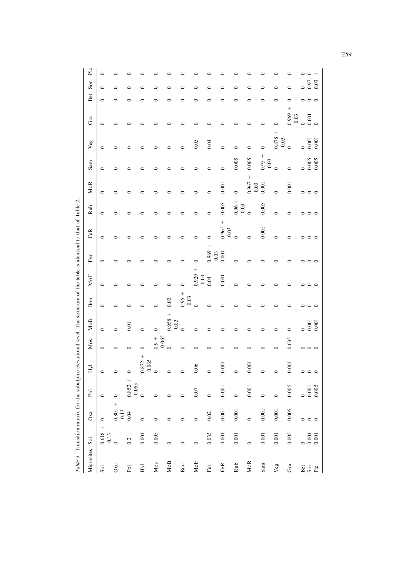|                         |                                               |                                                      | There 2. The means the research of the same of     |                                        | yauonai ivvii.   |                    |                  |                                                      |                                                            | is a fine of the company of the company of the company of the company of the company of the company of the company of the company of the company of the company of the company of the company of the company of the company of |                                             |                                                                 |                                               |                                                        |                                                  |         |             |     |
|-------------------------|-----------------------------------------------|------------------------------------------------------|----------------------------------------------------|----------------------------------------|------------------|--------------------|------------------|------------------------------------------------------|------------------------------------------------------------|--------------------------------------------------------------------------------------------------------------------------------------------------------------------------------------------------------------------------------|---------------------------------------------|-----------------------------------------------------------------|-----------------------------------------------|--------------------------------------------------------|--------------------------------------------------|---------|-------------|-----|
| Microsites              | Soi                                           | Oxa                                                  | Pol                                                | $\rm _H$                               | Mos              | MoB                | Bou              | MoF                                                  | Fer                                                        | FeR                                                                                                                                                                                                                            | <b>Rub</b>                                  | MoR                                                             | Sam                                           | Veg                                                    | Gra                                              | Bet     | Sor         | Pic |
| $\rm Soi$               | $\begin{array}{c} 0.618 \\ 0.13 \end{array}$  | $\circ$                                              | $\circ$                                            | $\circ$                                | $\circ$          | $\circ$            | $\circ$          | $\circ$                                              | $\circ$                                                    | $\circ$                                                                                                                                                                                                                        | $\circ$                                     | $\circ$                                                         |                                               | $\circ$                                                | $\circ$                                          | $\circ$ | $\circ$     |     |
| Oxa                     |                                               | $\begin{array}{c} 0.801 \\ 0.13 \\ 0.04 \end{array}$ | $\circ$                                            | $\circ$                                |                  | $\circ$            |                  |                                                      |                                                            |                                                                                                                                                                                                                                |                                             |                                                                 |                                               |                                                        |                                                  |         |             |     |
| $_{\rm Pol}$            | 0.2                                           |                                                      | $0.852 +$<br>0.065                                 | $\circ$                                |                  | 0.01               |                  |                                                      |                                                            |                                                                                                                                                                                                                                |                                             |                                                                 |                                               |                                                        |                                                  |         |             |     |
| $\rm Hyl$               | $0.001\,$                                     | $\circ$                                              |                                                    | $\frac{1}{2}$<br>$\frac{0.872}{0.065}$ |                  | $\circ$            |                  |                                                      |                                                            |                                                                                                                                                                                                                                |                                             |                                                                 |                                               |                                                        |                                                  |         |             |     |
| ${\rm\bf Mo}{\rm\bf s}$ | 0.005                                         | $\circ$                                              |                                                    |                                        | 0.065<br>$+$ 0.9 | $\circ$            |                  |                                                      |                                                            |                                                                                                                                                                                                                                |                                             |                                                                 |                                               |                                                        |                                                  |         |             |     |
| $_{\rm MoB}$            | $\circ$                                       | $\circ$                                              | $\circ$                                            | $\circ$                                |                  | 0.958<br>0.03      | 0.02             |                                                      |                                                            |                                                                                                                                                                                                                                |                                             |                                                                 |                                               |                                                        |                                                  |         |             |     |
| Bou                     | $\circ$                                       | $\circ$                                              |                                                    | $\circ$                                |                  |                    | $0.95 +$<br>0.03 |                                                      |                                                            |                                                                                                                                                                                                                                |                                             |                                                                 |                                               |                                                        |                                                  |         |             |     |
| $\mathbf{MoF}$          | $\circ$                                       | $\circ$                                              | $0.07$                                             | $0.06\,$                               |                  | $\circ$            |                  | $\begin{array}{c} 0.929 \\ 0.03 \\ 0.04 \end{array}$ |                                                            | 0                                                                                                                                                                                                                              |                                             |                                                                 |                                               | 0.05                                                   |                                                  |         |             |     |
| $\rm Fer$               | 0.035                                         | $0.02\,$                                             | $\overline{\phantom{0}}$                           | $\circ$                                |                  |                    |                  |                                                      | 0.969                                                      | 0                                                                                                                                                                                                                              | $\circ$                                     | 0                                                               |                                               | 0.04                                                   |                                                  |         |             |     |
| $_{\rm FeR}$            | $0.001\,$                                     | $0.001\,$                                            | $0.001\,$                                          | $0.001\,$                              |                  |                    |                  | 0.001                                                | $\!\!\!\begin{array}{c} 0.03 \\ 0.001 \end{array}\!\!\!\!$ | $\frac{0.965}{0.03}$                                                                                                                                                                                                           | 0.005                                       | 0.001                                                           |                                               |                                                        |                                                  |         |             |     |
| $\rm{Rub}$              | $0.001\,$                                     | $0.001\,$                                            | $\overline{a}$                                     | $\circ$                                |                  |                    |                  | $\circ$                                              | $\circ$                                                    | $\circ$                                                                                                                                                                                                                        | $\begin{array}{c} 0.96 \\ 0.03 \end{array}$ | $\circ$                                                         | 0.005                                         |                                                        |                                                  |         |             |     |
| $_{\rm MoR}$            | $\overline{a}$                                | $\overline{a}$                                       | $0.001\,$                                          | $0.001\,$                              |                  |                    |                  |                                                      |                                                            | $\circ$                                                                                                                                                                                                                        |                                             | $^{+}$<br>$\begin{array}{c} 0.967 \\ 0.03 \\ 0.001 \end{array}$ | 0.005                                         | 0                                                      |                                                  |         |             |     |
| Sam                     | $0.001\,$                                     | $0.001\,$                                            | $\circ$                                            | $\circ$                                |                  |                    |                  |                                                      |                                                            | 0.005                                                                                                                                                                                                                          | 0.005                                       |                                                                 | $0.95 +$<br>0.03                              |                                                        |                                                  |         |             |     |
| $\mathbf{Veg}$          | $0.001$                                       | $0.001\,$                                            | $\circ$                                            | $\overline{a}$                         |                  |                    |                  |                                                      |                                                            | $\circ$                                                                                                                                                                                                                        |                                             |                                                                 |                                               | $^{+}$<br>$\begin{array}{c} 0.878 \\ 0.03 \end{array}$ | $\circ$                                          |         |             |     |
| $\operatorname{Gra}$    | 0.005                                         | $0.005$                                              | 0.005                                              | $0.001\,$                              | 0.035            | 0                  |                  |                                                      |                                                            |                                                                                                                                                                                                                                |                                             | 0.001                                                           |                                               |                                                        | 0.969<br>0.03                                    |         |             |     |
|                         |                                               |                                                      |                                                    |                                        |                  |                    |                  |                                                      |                                                            |                                                                                                                                                                                                                                |                                             |                                                                 |                                               |                                                        | $\overline{\phantom{0}}$                         |         |             |     |
| Bet<br>Sor<br>Pic       | $\begin{array}{c} 0.001 \\ 0.001 \end{array}$ | $\circ \circ \circ$                                  | $\begin{array}{c} 0 \\ 0.001 \\ 0.005 \end{array}$ | $\circ \circ \circ$                    |                  | $0.001$<br>$0.001$ |                  | $\circ$                                              |                                                            | $\circ$                                                                                                                                                                                                                        |                                             |                                                                 | $\begin{array}{c} 0.005 \\ 0.005 \end{array}$ | 0.001<br>0.001                                         | $\begin{smallmatrix} 0.001\ 0 \end{smallmatrix}$ |         | 0.03<br>Ò.0 |     |

Table 3. Transition matrix for the subalpine elevational level. The structure of the table is identical to that of Table 2. Table 3. Transition matrix for the subalpine elevational level. The structure of the table is identical to that of Table 2. 259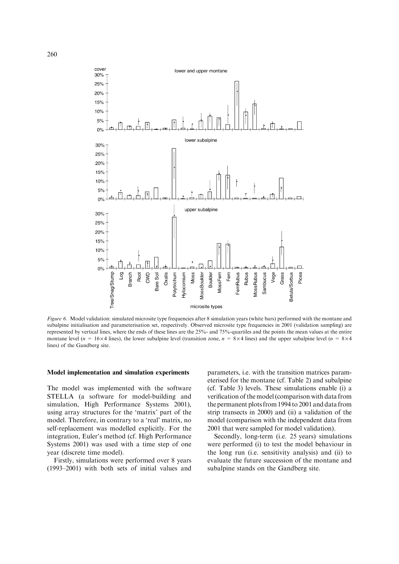

Figure 6. Model validation: simulated microsite type frequencies after 8 simulation years (white bars) performed with the montane and subalpine initialisation and parameterisation set, respectively. Observed microsite type frequencies in 2001 (validation sampling) are represented by vertical lines, where the ends of these lines are the 25%- and 75%-quartiles and the points the mean values at the entire montane level ( $n = 16 \times 4$  lines), the lower subalpine level (transition zone,  $n = 8 \times 4$  lines) and the upper subalpine level ( $n = 8 \times 4$ lines) of the Gandberg site.

### Model implementation and simulation experiments

The model was implemented with the software STELLA (a software for model-building and simulation, High Performance Systems 2001), using array structures for the 'matrix' part of the model. Therefore, in contrary to a 'real' matrix, no self-replacement was modelled explicitly. For the integration, Euler's method (cf. High Performance Systems 2001) was used with a time step of one year (discrete time model).

Firstly, simulations were performed over 8 years (1993–2001) with both sets of initial values and parameters, i.e. with the transition matrices parameterised for the montane (cf. Table 2) and subalpine (cf. Table 3) levels. These simulations enable (i) a verification of the model (comparison with data from the permanent plots from 1994 to 2001 and data from strip transects in 2000) and (ii) a validation of the model (comparison with the independent data from 2001 that were sampled for model validation).

Secondly, long-term (i.e. 25 years) simulations were performed (i) to test the model behaviour in the long run (i.e. sensitivity analysis) and (ii) to evaluate the future succession of the montane and subalpine stands on the Gandberg site.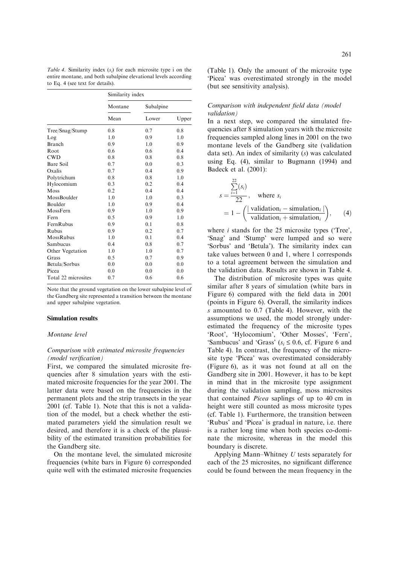|                     | Similarity index |           |       |
|---------------------|------------------|-----------|-------|
|                     | Montane          | Subalpine |       |
|                     | Mean             | Lower     | Upper |
| Tree/Snag/Stump     | 0.8              | 0.7       | 0.8   |
| Log                 | 1.0              | 0.9       | 1.0   |
| <b>Branch</b>       | 0.9              | 1.0       | 0.9   |
| Root                | 0.6              | 0.6       | 0.4   |
| <b>CWD</b>          | 0.8              | 0.8       | 0.8   |
| Bare Soil           | 0.7              | 0.0       | 0.3   |
| Oxalis              | 0.7              | 0.4       | 0.9   |
| Polytrichum         | 0.8              | 0.8       | 1.0   |
| Hylocomium          | 0.3              | 0.2       | 0.4   |
| Moss                | 0.2              | 0.4       | 0.4   |
| MossBoulder         | 1.0              | 1.0       | 0.3   |
| Boulder             | 1.0              | 0.9       | 0.4   |
| MossFern            | 0.9              | 1.0       | 0.9   |
| Fern                | 0.5              | 0.9       | 1.0   |
| FernRubus           | 0.9              | 0.1       | 0.8   |
| Rubus               | 0.9              | 0.2       | 0.7   |
| MossRubus           | 1.0              | 0.1       | 0.4   |
| Sambucus            | 0.4              | 0.8       | 0.7   |
| Other Vegetation    | 1.0              | 1.0       | 0.7   |
| Grass               | 0.5              | 0.7       | 0.9   |
| Betula/Sorbus       | 0.0              | 0.0       | 0.0   |
| Picea               | 0.0              | 0.0       | 0.0   |
| Total 22 microsites | 0.7              | 0.6       | 0.6   |

Table 4. Similarity index  $(s_i)$  for each microsite type i on the entire montane, and both subalpine elevational levels according to Eq. 4 (see text for details).

Note that the ground vegetation on the lower subalpine level of the Gandberg site represented a transition between the montane and upper subalpine vegetation.

# Simulation results

# Montane level

# Comparison with estimated microsite frequencies (model verification)

First, we compared the simulated microsite frequencies after 8 simulation years with the estimated microsite frequencies for the year 2001. The latter data were based on the frequencies in the permanent plots and the strip transects in the year 2001 (cf. Table 1). Note that this is not a validation of the model, but a check whether the estimated parameters yield the simulation result we desired, and therefore it is a check of the plausibility of the estimated transition probabilities for the Gandberg site.

On the montane level, the simulated microsite frequencies (white bars in Figure 6) corresponded quite well with the estimated microsite frequencies (Table 1). Only the amount of the microsite type 'Picea' was overestimated strongly in the model (but see sensitivity analysis).

# Comparison with independent field data (model validation)

In a next step, we compared the simulated frequencies after 8 simulation years with the microsite frequencies sampled along lines in 2001 on the two montane levels of the Gandberg site (validation data set). An index of similarity  $(s)$  was calculated using Eq. (4), similar to Bugmann (1994) and Badeck et al. (2001):

$$
s = \frac{\sum_{i=1}^{22} (s_i)}{22}, \text{ where } s_i
$$
  
= 1 -  $\left(\frac{|\text{ validation}_i - \text{simulation}_i|}{\text{validation}_i + \text{simulation}_i}\right)$ , (4)

where *i* stands for the 25 microsite types ('Tree', 'Snag' and 'Stump' were lumped and so were 'Sorbus' and 'Betula'). The similarity index can take values between 0 and 1, where 1 corresponds to a total agreement between the simulation and the validation data. Results are shown in Table 4.

The distribution of microsite types was quite similar after 8 years of simulation (white bars in Figure 6) compared with the field data in 2001 (points in Figure 6). Overall, the similarity indices s amounted to 0.7 (Table 4). However, with the assumptions we used, the model strongly underestimated the frequency of the microsite types 'Root', 'Hylocomium', 'Other Mosses', 'Fern', 'Sambucus' and 'Grass' ( $s_i \leq 0.6$ , cf. Figure 6 and Table 4). In contrast, the frequency of the microsite type 'Picea' was overestimated considerably (Figure 6), as it was not found at all on the Gandberg site in 2001. However, it has to be kept in mind that in the microsite type assignment during the validation sampling, moss microsites that contained Picea saplings of up to 40 cm in height were still counted as moss microsite types (cf. Table 1). Furthermore, the transition between 'Rubus' and 'Picea' is gradual in nature, i.e. there is a rather long time when both species co-dominate the microsite, whereas in the model this boundary is discrete.

Applying Mann–Whitney  $U$  tests separately for each of the 25 microsites, no significant difference could be found between the mean frequency in the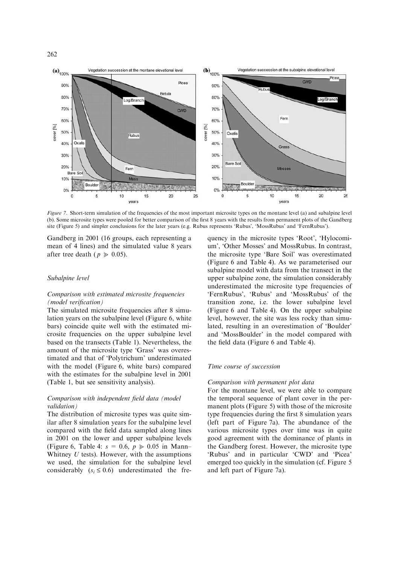

262



Figure 7. Short-term simulation of the frequencies of the most important microsite types on the montane level (a) and subalpine level (b). Some microsite types were pooled for better comparison of the first 8 years with the results from permanent plots of the Gandberg site (Figure 5) and simpler conclusions for the later years (e.g. Rubus represents 'Rubus', 'MossRubus' and 'FernRubus').

Gandberg in 2001 (16 groups, each representing a mean of 4 lines) and the simulated value 8 years after tree death ( $p \ge 0.05$ ).

# Subalpine level

# Comparison with estimated microsite frequencies (model verification)

The simulated microsite frequencies after 8 simulation years on the subalpine level (Figure 6, white bars) coincide quite well with the estimated microsite frequencies on the upper subalpine level based on the transects (Table 1). Nevertheless, the amount of the microsite type 'Grass' was overestimated and that of 'Polytrichum' underestimated with the model (Figure 6, white bars) compared with the estimates for the subalpine level in 2001 (Table 1, but see sensitivity analysis).

# Comparison with independent field data (model validation)

The distribution of microsite types was quite similar after 8 simulation years for the subalpine level compared with the field data sampled along lines in 2001 on the lower and upper subalpine levels (Figure 6, Table 4:  $s = 0.6$ ,  $p \ge 0.05$  in Mann– Whitney  $U$  tests). However, with the assumptions we used, the simulation for the subalpine level considerably  $(s_i \leq 0.6)$  underestimated the frequency in the microsite types 'Root', 'Hylocomium', 'Other Mosses' and MossRubus. In contrast, the microsite type 'Bare Soil' was overestimated (Figure 6 and Table 4). As we parameterised our subalpine model with data from the transect in the upper subalpine zone, the simulation considerably underestimated the microsite type frequencies of 'FernRubus', 'Rubus' and 'MossRubus' of the transition zone, i.e. the lower subalpine level (Figure 6 and Table 4). On the upper subalpine level, however, the site was less rocky than simulated, resulting in an overestimation of 'Boulder' and 'MossBoulder' in the model compared with the field data (Figure 6 and Table 4).

# Time course of succession

#### Comparison with permanent plot data

For the montane level, we were able to compare the temporal sequence of plant cover in the permanent plots (Figure 5) with those of the microsite type frequencies during the first 8 simulation years (left part of Figure 7a). The abundance of the various microsite types over time was in quite good agreement with the dominance of plants in the Gandberg forest. However, the microsite type 'Rubus' and in particular 'CWD' and 'Picea' emerged too quickly in the simulation (cf. Figure 5 and left part of Figure 7a).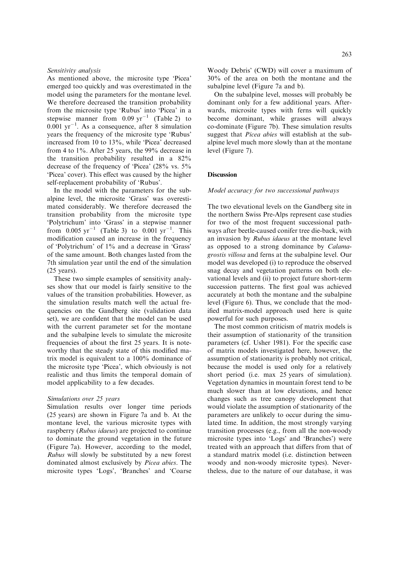# Sensitivity analysis

As mentioned above, the microsite type 'Picea' emerged too quickly and was overestimated in the model using the parameters for the montane level. We therefore decreased the transition probability from the microsite type 'Rubus' into 'Picea' in a stepwise manner from  $0.09 \text{ yr}^{-1}$  (Table 2) to  $0.001 \text{ yr}^{-1}$ . As a consequence, after 8 simulation years the frequency of the microsite type 'Rubus' increased from 10 to 13%, while 'Picea' decreased from 4 to 1%. After 25 years, the 99% decrease in the transition probability resulted in a 82% decrease of the frequency of 'Picea' (28% vs. 5% 'Picea' cover). This effect was caused by the higher self-replacement probability of 'Rubus'.

In the model with the parameters for the subalpine level, the microsite 'Grass' was overestimated considerably. We therefore decreased the transition probability from the microsite type 'Polytrichum' into 'Grass' in a stepwise manner from  $0.005 \text{ yr}^{-1}$  (Table 3) to  $0.001 \text{ yr}^{-1}$ . This modification caused an increase in the frequency of 'Polytrichum' of 1% and a decrease in 'Grass' of the same amount. Both changes lasted from the 7th simulation year until the end of the simulation (25 years).

These two simple examples of sensitivity analyses show that our model is fairly sensitive to the values of the transition probabilities. However, as the simulation results match well the actual frequencies on the Gandberg site (validation data set), we are confident that the model can be used with the current parameter set for the montane and the subalpine levels to simulate the microsite frequencies of about the first 25 years. It is noteworthy that the steady state of this modified matrix model is equivalent to a 100% dominance of the microsite type 'Picea', which obviously is not realistic and thus limits the temporal domain of model applicability to a few decades.

#### Simulations over 25 years

Simulation results over longer time periods (25 years) are shown in Figure 7a and b. At the montane level, the various microsite types with raspberry (Rubus idaeus) are projected to continue to dominate the ground vegetation in the future (Figure 7a). However, according to the model, Rubus will slowly be substituted by a new forest dominated almost exclusively by Picea abies. The microsite types 'Logs', 'Branches' and 'Coarse

Woody Debris' (CWD) will cover a maximum of 30% of the area on both the montane and the subalpine level (Figure 7a and b).

On the subalpine level, mosses will probably be dominant only for a few additional years. Afterwards, microsite types with ferns will quickly become dominant, while grasses will always co-dominate (Figure 7b). These simulation results suggest that *Picea abies* will establish at the subalpine level much more slowly than at the montane level (Figure 7).

# **Discussion**

Model accuracy for two successional pathways

The two elevational levels on the Gandberg site in the northern Swiss Pre-Alps represent case studies for two of the most frequent successional pathways after beetle-caused conifer tree die-back, with an invasion by Rubus idaeus at the montane level as opposed to a strong dominance by Calamagrostis villosa and ferns at the subalpine level. Our model was developed (i) to reproduce the observed snag decay and vegetation patterns on both elevational levels and (ii) to project future short-term succession patterns. The first goal was achieved accurately at both the montane and the subalpine level (Figure 6). Thus, we conclude that the modified matrix-model approach used here is quite powerful for such purposes.

The most common criticism of matrix models is their assumption of stationarity of the transition parameters (cf. Usher 1981). For the specific case of matrix models investigated here, however, the assumption of stationarity is probably not critical, because the model is used only for a relatively short period (i.e. max 25 years of simulation). Vegetation dynamics in mountain forest tend to be much slower than at low elevations, and hence changes such as tree canopy development that would violate the assumption of stationarity of the parameters are unlikely to occur during the simulated time. In addition, the most strongly varying transition processes (e.g., from all the non-woody microsite types into 'Logs' and 'Branches') were treated with an approach that differs from that of a standard matrix model (i.e. distinction between woody and non-woody microsite types). Nevertheless, due to the nature of our database, it was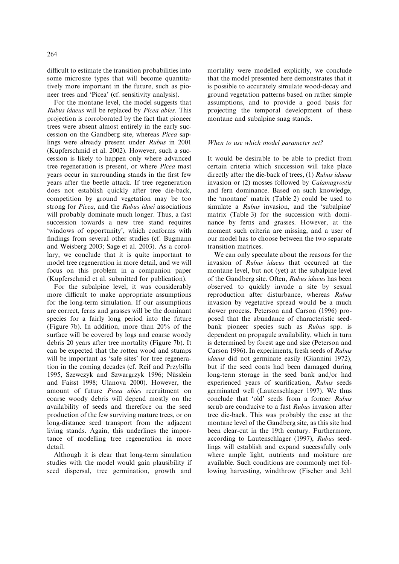difficult to estimate the transition probabilities into some microsite types that will become quantitatively more important in the future, such as pioneer trees and 'Picea' (cf. sensitivity analysis).

For the montane level, the model suggests that Rubus idaeus will be replaced by Picea abies. This projection is corroborated by the fact that pioneer trees were absent almost entirely in the early succession on the Gandberg site, whereas Picea saplings were already present under Rubus in 2001 (Kupferschmid et al. 2002). However, such a succession is likely to happen only where advanced tree regeneration is present, or where Picea mast years occur in surrounding stands in the first few years after the beetle attack. If tree regeneration does not establish quickly after tree die-back, competition by ground vegetation may be too strong for Picea, and the Rubus idaei associations will probably dominate much longer. Thus, a fast succession towards a new tree stand requires 'windows of opportunity', which conforms with findings from several other studies (cf. Bugmann and Weisberg 2003; Sage et al. 2003). As a corollary, we conclude that it is quite important to model tree regeneration in more detail, and we will focus on this problem in a companion paper (Kupferschmid et al. submitted for publication).

For the subalpine level, it was considerably more difficult to make appropriate assumptions for the long-term simulation. If our assumptions are correct, ferns and grasses will be the dominant species for a fairly long period into the future (Figure 7b). In addition, more than 20% of the surface will be covered by logs and coarse woody debris 20 years after tree mortality (Figure 7b). It can be expected that the rotten wood and stumps will be important as 'safe sites' for tree regeneration in the coming decades (cf. Reif and Przybilla 1995, Szewczyk and Szwargrzyk 1996; Nüsslein and Faisst 1998; Ulanova 2000). However, the amount of future Picea abies recruitment on coarse woody debris will depend mostly on the availability of seeds and therefore on the seed production of the few surviving mature trees, or on long-distance seed transport from the adjacent living stands. Again, this underlines the importance of modelling tree regeneration in more detail.

Although it is clear that long-term simulation studies with the model would gain plausibility if seed dispersal, tree germination, growth and

mortality were modelled explicitly, we conclude that the model presented here demonstrates that it is possible to accurately simulate wood-decay and ground vegetation patterns based on rather simple assumptions, and to provide a good basis for projecting the temporal development of these montane and subalpine snag stands.

# When to use which model parameter set?

It would be desirable to be able to predict from certain criteria which succession will take place directly after the die-back of trees, (1) Rubus idaeus invasion or (2) mosses followed by Calamagrostis and fern dominance. Based on such knowledge, the 'montane' matrix (Table 2) could be used to simulate a *Rubus* invasion, and the 'subalpine' matrix (Table 3) for the succession with dominance by ferns and grasses. However, at the moment such criteria are missing, and a user of our model has to choose between the two separate transition matrices.

We can only speculate about the reasons for the invasion of Rubus idaeus that occurred at the montane level, but not (yet) at the subalpine level of the Gandberg site. Often, Rubus idaeus has been observed to quickly invade a site by sexual reproduction after disturbance, whereas Rubus invasion by vegetative spread would be a much slower process. Peterson and Carson (1996) proposed that the abundance of characteristic seedbank pioneer species such as Rubus spp. is dependent on propagule availability, which in turn is determined by forest age and size (Peterson and Carson 1996). In experiments, fresh seeds of Rubus idaeus did not germinate easily (Giannini 1972), but if the seed coats had been damaged during long-term storage in the seed bank and/or had experienced years of scarification, Rubus seeds germinated well (Lautenschlager 1997). We thus conclude that 'old' seeds from a former Rubus scrub are conducive to a fast *Rubus* invasion after tree die-back. This was probably the case at the montane level of the Gandberg site, as this site had been clear-cut in the 19th century. Furthermore, according to Lautenschlager (1997), Rubus seedlings will establish and expand successfully only where ample light, nutrients and moisture are available. Such conditions are commonly met following harvesting, windthrow (Fischer and Jehl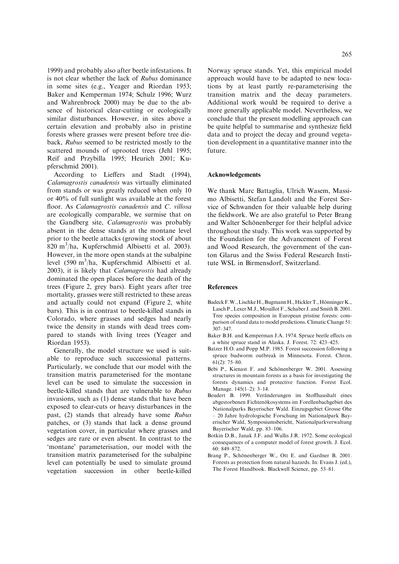1999) and probably also after beetle infestations. It is not clear whether the lack of Rubus dominance in some sites (e.g., Yeager and Riordan 1953; Baker and Kemperman 1974; Schulz 1996; Wurz and Wahrenbrock 2000) may be due to the absence of historical clear-cutting or ecologically similar disturbances. However, in sites above a certain elevation and probably also in pristine forests where grasses were present before tree dieback, Rubus seemed to be restricted mostly to the scattered mounds of uprooted trees (Jehl 1995; Reif and Przybilla 1995; Heurich 2001; Kupferschmid 2001).

According to Lieffers and Stadt (1994), Calamagrostis canadensis was virtually eliminated from stands or was greatly reduced when only 10 or 40% of full sunlight was available at the forest floor. As Calamagrostis canadensis and C. villosa are ecologically comparable, we surmise that on the Gandberg site, Calamagrostis was probably absent in the dense stands at the montane level prior to the beetle attacks (growing stock of about 820 m<sup>3</sup> /ha, Kupferschmid Albisetti et al. 2003). However, in the more open stands at the subalpine level (590 m<sup>3</sup>/ha, Kupferschmid Albisetti et al. 2003), it is likely that Calamagrostis had already dominated the open places before the death of the trees (Figure 2, grey bars). Eight years after tree mortality, grasses were still restricted to these areas and actually could not expand (Figure 2, white bars). This is in contrast to beetle-killed stands in Colorado, where grasses and sedges had nearly twice the density in stands with dead trees compared to stands with living trees (Yeager and Riordan 1953).

Generally, the model structure we used is suitable to reproduce such successional patterns. Particularly, we conclude that our model with the transition matrix parameterised for the montane level can be used to simulate the succession in beetle-killed stands that are vulnerable to Rubus invasions, such as (1) dense stands that have been exposed to clear-cuts or heavy disturbances in the past, (2) stands that already have some Rubus patches, or (3) stands that lack a dense ground vegetation cover, in particular where grasses and sedges are rare or even absent. In contrast to the 'montane' parameterisation, our model with the transition matrix parameterised for the subalpine level can potentially be used to simulate ground vegetation succession in other beetle-killed

Norway spruce stands. Yet, this empirical model approach would have to be adapted to new locations by at least partly re-parameterising the transition matrix and the decay parameters. Additional work would be required to derive a more generally applicable model. Nevertheless, we conclude that the present modelling approach can be quite helpful to summarise and synthesize field data and to project the decay and ground vegetation development in a quantitative manner into the future.

### Acknowledgements

We thank Marc Battaglia, Ulrich Wasem, Massimo Albisetti, Stefan Landolt and the Forest Service of Schwanden for their valuable help during the fieldwork. We are also grateful to Peter Brang and Walter Schönenberger for their helpful advice throughout the study. This work was supported by the Foundation for the Advancement of Forest and Wood Research, the government of the canton Glarus and the Swiss Federal Research Institute WSL in Birmensdorf, Switzerland.

#### References

- Badeck F.W., Lischke H., Bugmann H., Hickler T., Hönninger K., Lasch P., Lexer M.J., Mouillot F., Schaber J. and Smith B. 2001. Tree species composition in European pristine forests: comparison of stand data to model predictions. Climatic Change 51: 307–347.
- Baker B.H. and Kemperman J.A. 1974. Spruce beetle effects on a white spruce stand in Alaska. J. Forest. 72: 423–425.
- Batzer H.O. and Popp M.P. 1985. Forest succession following a spruce budworm outbreak in Minnesota. Forest. Chron. 61(2): 75–80.
- Bebi P., Kienast F. and Schönenberger W. 2001. Assessing structures in mountain forests as a basis for investigating the forests dynamics and protective function. Forest Ecol. Manage. 145(1–2): 3–14.
- Beudert B. 1999. Veränderungen im Stoffhaushalt eines abgestorbenen Fichtenökosystems im Forellenbachgebiet des Nationalparks Bayerischer Wald. Einzugsgebiet Grosse Ohe – 20 Jahre hydrologische Forschung im Nationalpark Bayerischer Wald, Symposiumsbericht, Nationalparkverwaltung Bayerischer Wald, pp. 83–106.
- Botkin D.B., Janak J.F. and Wallis J.R. 1972. Some ecological consequences of a computer model of forest growth. J. Ecol. 60: 849–872.
- Brang P., Schönenberger W., Ott E. and Gardner B. 2001. Forests as protection from natural hazards. In: Evans J. (ed.), The Forest Handbook. Blackwell Science, pp. 53–81.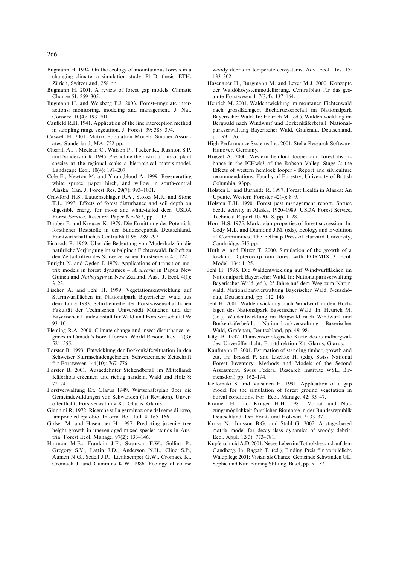- Bugmann H. 1994. On the ecology of mountainous forests in a changing climate: a simulation study. Ph.D. thesis. ETH, Zürich, Switzerland, 258 pp.
- Bugmann H. 2001. A review of forest gap models. Climatic Change 51: 259–305.
- Bugmann H. and Weisberg P.J. 2003. Forest–ungulate interactions: monitoring, modeling and management. J. Nat. Conserv. 10(4): 193–201.
- Canfield R.H. 1941. Application of the line interception method in sampling range vegetation. J. Forest. 39: 388–394.
- Caswell H. 2001. Matrix Population Models. Sinauer Associates, Sunderland, MA, 722 pp.
- Cherrill A.J., Mcclean C., Watson P., Tucker K., Rushton S.P. and Sanderson R. 1995. Predicting the distributions of plant species at the regional scale: a hierarchical matrix-model. Landscape Ecol. 10(4): 197–207.
- Cole E., Newton M. and Youngblood A. 1999. Regenerating white spruce, paper birch, and willow in south-central Alaska. Can. J. Forest Res. 29(7): 993–1001.
- Crawford H.S., Lautenschlager R.A., Stokes M.R. and Stone T.L. 1993. Effects of forest disturbance and soil depth on digestible energy for moos and white-tailed deer. USDA Forest Service, Research Paper NE-682, pp. 1–13.
- Dauber E. and Kreuzer K. 1979. Die Ermittlung des Potentials forstlicher Reststoffe in der Bundesrepublik Deutschland. Forstwirtschaftliches Centralblatt 98: 289–297.
- Eichrodt R. 1969. Über die Bedeutung von Moderholz für die natürliche Verjüngung im subalpinen Fichtenwald. Beiheft zu den Zeitschriften des Schweizerischen Forstvereins 45: 122.
- Enright N. and Ogden J. 1979. Applications of transition matrix models in forest dynamics – Araucaria in Papua New Guinea and Nothofagus in New Zealand. Aust. J. Ecol. 4(1): 3–23.
- Fischer A. and Jehl H. 1999. Vegetationsentwicklung auf Sturmwurfflächen im Nationalpark Bayerischer Wald aus dem Jahre 1983. Schriftenreihe der Forstwissenschaftlichen Fakultät der Technischen Universität München und der Bayerischen Landesanstalt für Wald und Forstwirtschaft 176: 93–101.
- Fleming R.A. 2000. Climate change and insect disturbance regimes in Canada's boreal forests. World Resour. Rev. 12(3): 521–555.
- Forster B. 1993. Entwicklung der Borkenkäfersituation in den Schweizer Sturmschadengebieten. Schweizerische Zeitschrift für Forstwesen 144(10): 767-776.
- Forster B. 2001. Ausgedehnter Stehendbefall im Mittelland: Käferholz erkennen und richtig handeln. Wald und Holz 8: 72–74.
- Forstverwaltung Kt. Glarus 1949. Wirtschaftsplan über die Gemeindewaldungen von Schwanden (1st Revision). Unveröffentlicht, Forstverwaltung Kt. Glarus, Glarus.
- Giannini R. 1972. Ricerche sulla germinazione del seme di rovo, lampone ed epilobio. Inform. Bot. Ital. 4: 165–166.
- Golser M. and Hasenauer H. 1997. Predicting juvenile tree height growth in uneven-aged mixed species stands in Austria. Forest Ecol. Manage. 97(2): 133–146.
- Harmon M.E., Franklin J.F., Swanson F.W., Sollins P., Gregory S.V., Lattin J.D., Anderson N.H., Cline S.P., Aumen N.G., Sedell J.R., Lienkaemper G.W., Cromack K., Cromack J. and Cummins K.W. 1986. Ecology of coarse

woody debris in temperate ecosystems. Adv. Ecol. Res. 15: 133–302.

- Hasenauer H., Burgmann M. and Lexer M.J. 2000. Konzepte der Waldökosystemmodellierung. Centralblatt für das gesamte Forstwesen 117(3/4): 137–164.
- Heurich M. 2001. Waldentwicklung im montanen Fichtenwald nach grossflächigem Buchdruckerbefall im Nationalpark Bayerischer Wald. In: Heurich M. (ed.), Waldentwicklung im Bergwald nach Windwurf und Borkenkäferbefall. Nationalparkverwaltung Bayerischer Wald, Grafenau, Deutschland, pp. 99–176.
- High Performance Systems Inc. 2001. Stella Research Software. Hanover, Germany.
- Hogget A. 2000. Western hemlock looper and forest disturbance in the ICHwk3 of the Robson Valley; Stage 2: the Effects of western hemlock looper - Report and silviculture recommendations. Faculty of Forestry, University of British Columbia, 93pp.
- Holsten E. and Burnside R. 1997. Forest Health in Alaska: An Update. Western Forester 42(4): 8–9.
- Holsten E.H. 1990. Forest pest management report. Spruce beetle activity in Alaska, 1920–1989. USDA Forest Service, Technical Report 10-90-18, pp. 1–28.
- Horn H.S. 1975. Markovian properties of forest succession. In: Cody M.L. and Diamond J.M. (eds), Ecology and Evolution of Communities. The Belknap Press of Harvard University, Cambridge, 545 pp.
- Huth A. and Ditzer T. 2000. Simulation of the growth of a lowland Dipterocarp rain forest with FORMIX 3. Ecol. Model. 134: 1–25.
- Jehl H. 1995. Die Waldentwicklung auf Windwurfflächen im Nationalpark Bayerischer Wald. In: Nationalparkverwaltung Bayerischer Wald (ed.), 25 Jahre auf dem Weg zum Naturwald. Nationalparkverwaltung Bayerischer Wald, Neuschönau, Deutschland, pp. 112–146.
- Jehl H. 2001. Waldentwicklung nach Windwurf in den Hochlagen des Nationalpark Bayerischer Wald. In: Heurich M. (ed.), Waldentwicklung im Bergwald nach Windwurf und Borkenkäferbefall. Nationalparkverwaltung Bayerischer Wald, Grafenau, Deutschland, pp. 49–98.
- Kägi B. 1992. Pflanzensoziologische Karte des Gandbergwaldes. Unveröffentlicht, Forstdirektion Kt. Glarus, Glarus.
- Kaufmann E. 2001. Estimation of standing timber, growth and cut. In: Brassel P. and Lischke H. (eds), Swiss National Forest Inventory: Methods and Models of the Second Assessment. Swiss Federal Research Institute WSL, Birmensdorf, pp. 162–194.
- Kellomäki S. and Väisänen H. 1991. Application of a gap model for the simulation of forest ground vegetation in boreal conditions. For. Ecol. Manage. 42: 35–47.
- Kramer H. and Krüger H.H. 1981. Vorrat und Nutzungsmöglichkeit forstlicher Biomasse in der Bundesrepublik Deutschland. Der Forst- und Holzwirt 2: 33–37.
- Kruys N., Jonsson B.G. and Stahl G. 2002. A stage-based matrix model for decay-class dynamics of woody debris. Ecol. Appl. 12(3): 773–781.
- Kupferschmid A.D. 2001. Neues Leben im Totholzbestand auf dem Gandberg. In: Rageth T. (ed.), Binding Preis für vorbildliche Waldpflege 2001: Vivian als Chance. Gemeinde Schwanden GL. Sophie und Karl Binding Stiftung, Basel, pp. 51–57.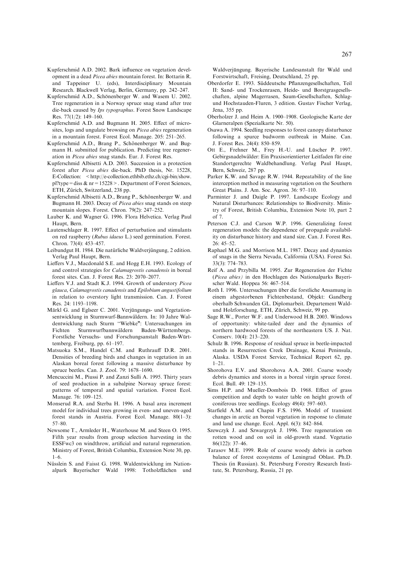- Kupferschmid A.D. 2002. Bark influence on vegetation development in a dead Picea abies mountain forest. In: Bottarin R. and Tappeiner U. (eds), Interdisciplinary Mountain Research. Blackwell Verlag, Berlin, Germany, pp. 242–247.
- Kupferschmid A.D., Schönenberger W. and Wasem U. 2002. Tree regeneration in a Norway spruce snag stand after tree die-back caused by Ips typographus. Forest Snow Landscape Res. 77(1/2): 149–160.
- Kupferschmid A.D. and Bugmann H. 2005. Effect of microsites, logs and ungulate browsing on Picea abies regeneration in a mountain forest. Forest Ecol. Manage. 205: 251–265.
- Kupferschmid A.D., Brang P., Schönenberger W. and Bugmann H. submitted for publication. Predicting tree regeneration in Picea abies snag stands. Eur. J. Forest Res.
- Kupferschmid Albisetti A.D. 2003. Succession in a protection forest after Picea abies die-back. PhD thesis, Nr. 15228, E-Collection: <http://e-collection.ethbib.ethz.ch/cgi-bin/show.  $p!$ ?type=diss & nr = 15228 > . Department of Forest Sciences, ETH, Zürich, Switzerland, 238 pp.
- Kupferschmid Albisetti A.D., Brang P., Schönenberger W. and Bugmann H. 2003. Decay of Picea abies snag stands on steep mountain slopes. Forest. Chron. 79(2): 247–252.
- Lauber K. and Wagner G. 1996. Flora Helvetica. Verlag Paul Haupt, Bern.
- Lautenschlager R. 1997. Effect of perturbation and stimulants on red raspberry (Rubus idaeus L.) seed germination. Forest. Chron. 73(4): 453–457.
- Leibundgut H. 1984. Die natürliche Waldverjüngung, 2 edition. Verlag Paul Haupt, Bern.
- Lieffers V.J., Macdonald S.E. and Hogg E.H. 1993. Ecology of and control strategies for Calamagrostis canadensis in boreal forest sites. Can. J. Forest Res. 23: 2070–2077.
- Lieffers V.J. and Stadt K.J. 1994. Growth of understory Picea glauca, Calamagrostis canadensis and Epilobium angustifolium in relation to overstory light transmission. Can. J. Forest Res. 24: 1193–1198.
- Märkl G. and Eglseer C. 2001. Verjüngungs- und Vegetationsentwicklung in Sturmwurf-Bannwäldern. In: 10 Jahre Waldentwicklung nach Sturm ''Wiebke": Untersuchungen im Fichten Sturmwurfbannwäldern Baden-Württembergs. Forstliche Versuchs- und Forschungsanstalt Baden-Württemberg, Freiburg, pp. 61–197.
- Matsuoka S.M., Handel C.M. and Ruthrauff D.R. 2001. Densities of breeding birds and changes in vegetation in an Alaskan boreal forest following a massive disturbance by spruce beetles. Can. J. Zool. 79: 1678–1690.
- Mencuccini M., Piussi P. and Zanzi Sulli A. 1995. Thirty years of seed production in a subalpine Norway spruce forest: patterns of temporal and spatial variation. Forest Ecol. Manage. 76: 109–125.
- Monserud R.A. and Sterba H. 1996. A basal area increment model for individual trees growing in even- and uneven-aged forest stands in Austria. Forest Ecol. Manage. 80(1–3): 57–80.
- Newsome T., Armleder H., Waterhouse M. and Steen O. 1995. Fifth year results from group selection harvesting in the ESSFwc3 on windthrow, artificial and natural regeneration. Ministry of Forest, British Columbia, Extension Note 30, pp.  $1-6$
- Nüsslein S. and Faisst G. 1998. Waldentwicklung im Nationalpark Bayerischer Wald 1998: Totholzflächen und

Waldverjüngung. Bayerische Landesanstalt für Wald und Forstwirtschaft, Freising, Deutschland, 25 pp.

- Oberdorfer E. 1993. Süddeutsche Pflanzengesellschaften, Teil II: Sand- und Trockenrasen, Heide- und Borstgrasgesellschaften, alpine Magerrasen, Saum-Gesellschaften, Schlagund Hochstauden-Fluren, 3 edition. Gustav Fischer Verlag, Jena, 355 pp.
- Oberholzer J. and Heim A. 1900–1908. Geologische Karte der Glarneralpen (Spezialkarte Nr. 50).
- Osawa A. 1994. Seedling responses to forest canopy disturbance following a spurce budworm outbreak in Maine. Can. J. Forest Res. 24(4): 850–859.
- Ott E., Frehner M., Frey H.-U. and Lüscher P. 1997. Gebirgsnadelwälder: Ein Praxisorientierter Leitfaden für eine Standortgerechte Waldbehandlung. Verlag Paul Haupt, Bern, Schweiz, 287 pp.
- Parker K.W. and Savage R.W. 1944. Repeatability of the line interception method in measuring vegetation on the Southern Great Plains. J. Am. Soc. Agron. 36: 97–110.
- Parminter J. and Daigle P. 1997. Landscape Ecology and Natural Disturbances: Relationships to Biodiversity. Ministry of Forest, British Columbia, Extension Note 10, part 2 of 7.
- Peterson C.J. and Carson W.P. 1996. Generalizing forest regeneration models: the dependence of propagule availability on disturbance history and stand size. Can. J. Forest Res.  $26.45 - 52.$
- Raphael M.G. and Morrison M.L. 1987. Decay and dynamics of snags in the Sierra Nevada, California (USA). Forest Sci. 33(3): 774–783.
- Reif A. and Przybilla M. 1995. Zur Regeneration der Fichte (Picea abies) in den Hochlagen des Nationalparks Bayerischer Wald. Hoppea 56: 467–514.
- Roth I. 1996. Untersuchungen über die forstliche Ansamung in einem abgestorbenen Fichtenbestand, Objekt: Gandberg oberhalb Schwanden GL. Diplomarbeit. Departement Waldund Holzforschung, ETH, Zürich, Schweiz, 99 pp.
- Sage R.W., Porter W.F. and Underwood H.B. 2003. Windows of opportunity: white-tailed deer and the dynamics of northern hardwood forests of the northeastern US. J. Nat. Conserv. 10(4): 213–220.
- Schulz B. 1996. Response of residual spruce in beetle-impacted stands in Resurrection Creek Drainage, Kenai Peninsula, Alaska. USDA Forest Service, Technical Report 62, pp. 1–21.
- Shorohova E.V. and Shorohova A.A. 2001. Coarse woody debris dynamics and stores in a boreal virgin spruce forest. Ecol. Bull. 49: 129–135.
- Sims H.P. and Mueller-Dombois D. 1968. Effect of grass competition and depth to water table on height growth of coniferous tree seedlings. Ecology 49(4): 597–603.
- Starfield A.M. and Chapin F.S. 1996. Model of transient changes in arctic an boreal vegetation in response to climate and land use change. Ecol. Appl. 6(3): 842–864.
- Szewczyk J. and Szwargrzyk J. 1996. Tree regeneration on rotten wood and on soil in old-growth stand. Vegetatio 86(122): 37–46.
- Tarasov M.E. 1999. Role of coarse woody debris in carbon balance of forest ecosystems of Leningrad Oblast. Ph.D. Thesis (in Russian). St. Petersburg Forestry Research Institute, St. Petersburg, Russia, 21 pp.